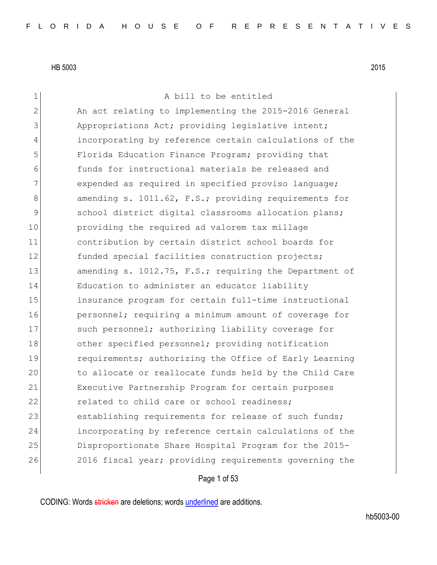1 a bill to be entitled 2 An act relating to implementing the 2015-2016 General 3 Appropriations Act; providing legislative intent; 4 incorporating by reference certain calculations of the 5 Florida Education Finance Program; providing that 6 funds for instructional materials be released and 7 expended as required in specified proviso language; 8 amending s. 1011.62, F.S.; providing requirements for 9 school district digital classrooms allocation plans; 10 providing the required ad valorem tax millage 11 contribution by certain district school boards for 12 funded special facilities construction projects; 13 amending s. 1012.75, F.S.; requiring the Department of 14 Education to administer an educator liability 15 insurance program for certain full-time instructional 16 **personnel;** requiring a minimum amount of coverage for 17 Such personnel; authorizing liability coverage for 18 other specified personnel; providing notification 19 **requirements;** authorizing the Office of Early Learning 20 to allocate or reallocate funds held by the Child Care 21 Executive Partnership Program for certain purposes 22 **related to child care or school readiness;** 23 establishing requirements for release of such funds; 24 incorporating by reference certain calculations of the 25 Disproportionate Share Hospital Program for the 2015-26 2016 fiscal year; providing requirements governing the

Page 1 of 53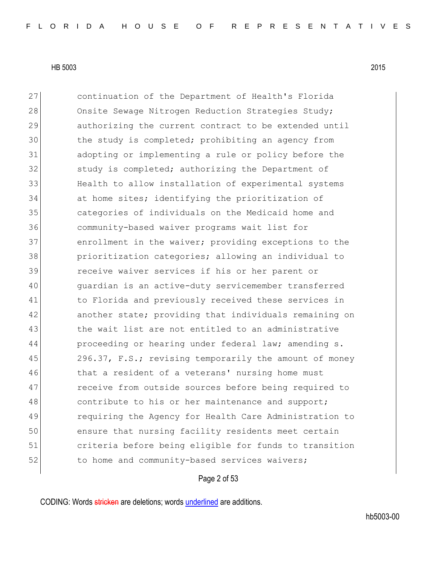27 continuation of the Department of Health's Florida 28 Onsite Sewage Nitrogen Reduction Strategies Study; 29 authorizing the current contract to be extended until 30 the study is completed; prohibiting an agency from 31 adopting or implementing a rule or policy before the 32 study is completed; authorizing the Department of 33 Health to allow installation of experimental systems 34 at home sites; identifying the prioritization of 35 categories of individuals on the Medicaid home and 36 community-based waiver programs wait list for 37 enrollment in the waiver; providing exceptions to the 38 prioritization categories; allowing an individual to 39 receive waiver services if his or her parent or 40 guardian is an active-duty servicemember transferred 41 Theorida and previously received these services in 42 another state; providing that individuals remaining on 43 black the wait list are not entitled to an administrative 44 proceeding or hearing under federal law; amending s. 45 296.37, F.S.; revising temporarily the amount of money 46 10 that a resident of a veterans' nursing home must 47 receive from outside sources before being required to 48 contribute to his or her maintenance and support; 49 requiring the Agency for Health Care Administration to 50 ensure that nursing facility residents meet certain 51 criteria before being eligible for funds to transition 52 to home and community-based services waivers;

Page 2 of 53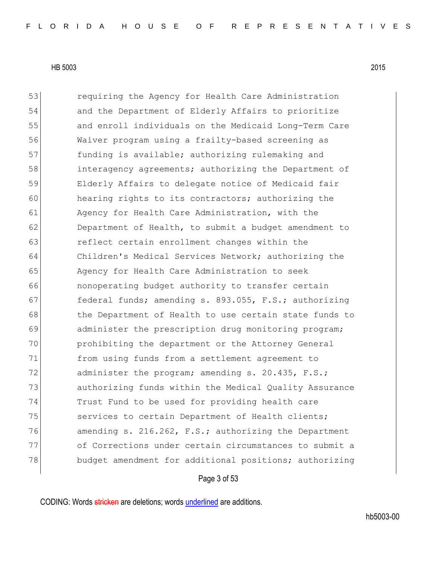53 **12** requiring the Agency for Health Care Administration 54 and the Department of Elderly Affairs to prioritize 55 and enroll individuals on the Medicaid Long-Term Care 56 Waiver program using a frailty-based screening as 57 funding is available; authorizing rulemaking and 58 interagency agreements; authorizing the Department of 59 Elderly Affairs to delegate notice of Medicaid fair 60 hearing rights to its contractors; authorizing the 61 Agency for Health Care Administration, with the 62 Department of Health, to submit a budget amendment to 63 **reflect certain enrollment changes within the** 64 Children's Medical Services Network; authorizing the 65 | Agency for Health Care Administration to seek 66 **nonoperating budget authority to transfer certain** 67 **federal funds; amending s. 893.055, F.S.; authorizing** 68 the Department of Health to use certain state funds to 69 administer the prescription drug monitoring program; 70 prohibiting the department or the Attorney General 71 from using funds from a settlement agreement to 72 administer the program; amending s. 20.435, F.S.; 73 authorizing funds within the Medical Quality Assurance 74 Trust Fund to be used for providing health care 75 Services to certain Department of Health clients; 76 amending s. 216.262, F.S.; authorizing the Department 77 of Corrections under certain circumstances to submit a 78 budget amendment for additional positions; authorizing

#### Page 3 of 53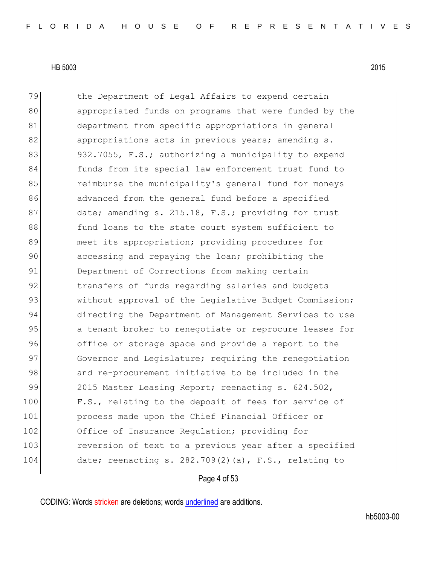79 blue Department of Legal Affairs to expend certain 80 appropriated funds on programs that were funded by the 81 department from specific appropriations in general 82 appropriations acts in previous years; amending s. 83 932.7055, F.S.; authorizing a municipality to expend 84 funds from its special law enforcement trust fund to 85 **reamburse the municipality's general fund for moneys** 86 advanced from the general fund before a specified 87 date; amending s. 215.18, F.S.; providing for trust 88 fund loans to the state court system sufficient to 89 meet its appropriation; providing procedures for 90 accessing and repaying the loan; prohibiting the 91 Department of Corrections from making certain 92 transfers of funds regarding salaries and budgets 93 without approval of the Legislative Budget Commission; 94 directing the Department of Management Services to use 95 a tenant broker to renegotiate or reprocure leases for 96 office or storage space and provide a report to the 97 Governor and Legislature; requiring the renegotiation 98 and re-procurement initiative to be included in the 99 2015 Master Leasing Report; reenacting s. 624.502, 100 F.S., relating to the deposit of fees for service of 101 process made upon the Chief Financial Officer or 102 Office of Insurance Regulation; providing for 103 reversion of text to a previous year after a specified 104 date; reenacting s. 282.709(2)(a), F.S., relating to

Page 4 of 53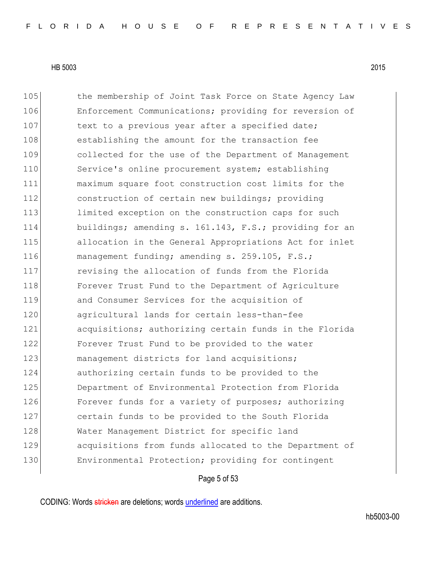105 the membership of Joint Task Force on State Agency Law 106 Enforcement Communications; providing for reversion of 107 text to a previous year after a specified date; 108 establishing the amount for the transaction fee 109 collected for the use of the Department of Management 110 Service's online procurement system; establishing 111 maximum square foot construction cost limits for the 112 construction of certain new buildings; providing 113 limited exception on the construction caps for such 114 buildings; amending s. 161.143, F.S.; providing for an 115 allocation in the General Appropriations Act for inlet 116 management funding; amending s. 259.105, F.S.; 117 revising the allocation of funds from the Florida 118 **Forever Trust Fund to the Department of Agriculture** 119 and Consumer Services for the acquisition of 120 agricultural lands for certain less-than-fee 121 acquisitions; authorizing certain funds in the Florida 122 Forever Trust Fund to be provided to the water 123 management districts for land acquisitions; 124 authorizing certain funds to be provided to the 125 Department of Environmental Protection from Florida 126 Forever funds for a variety of purposes; authorizing 127 certain funds to be provided to the South Florida 128 Water Management District for specific land 129 acquisitions from funds allocated to the Department of 130 Environmental Protection; providing for contingent

Page 5 of 53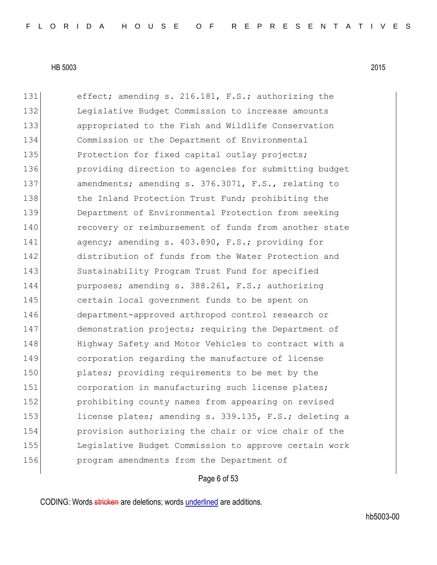131 effect; amending s. 216.181, F.S.; authorizing the 132 Legislative Budget Commission to increase amounts 133 appropriated to the Fish and Wildlife Conservation 134 Commission or the Department of Environmental 135 Protection for fixed capital outlay projects; 136 **providing direction to agencies for submitting budget** 137 amendments; amending s. 376.3071, F.S., relating to 138 the Inland Protection Trust Fund; prohibiting the 139 Department of Environmental Protection from seeking 140 recovery or reimbursement of funds from another state 141 agency; amending s. 403.890, F.S.; providing for 142 distribution of funds from the Water Protection and 143 Sustainability Program Trust Fund for specified 144 purposes; amending s. 388.261, F.S.; authorizing 145 certain local government funds to be spent on 146 department-approved arthropod control research or 147 demonstration projects; requiring the Department of 148 Highway Safety and Motor Vehicles to contract with a 149 corporation regarding the manufacture of license 150 plates; providing requirements to be met by the 151 corporation in manufacturing such license plates; 152 prohibiting county names from appearing on revised 153 license plates; amending s. 339.135, F.S.; deleting a 154 provision authorizing the chair or vice chair of the 155 Legislative Budget Commission to approve certain work 156 program amendments from the Department of

## Page 6 of 53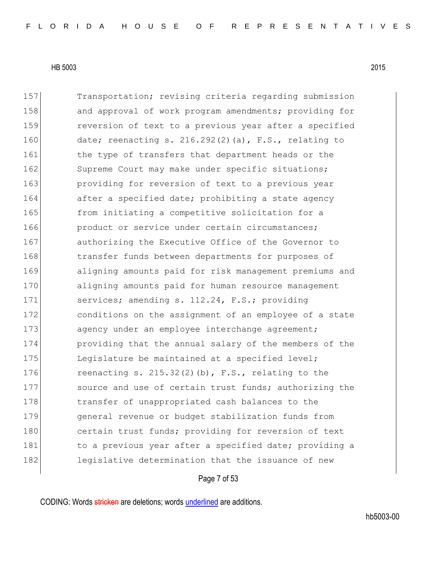157 Transportation; revising criteria regarding submission 158 and approval of work program amendments; providing for 159 reversion of text to a previous year after a specified 160 date; reenacting s. 216.292(2)(a), F.S., relating to 161 the type of transfers that department heads or the 162 Supreme Court may make under specific situations; 163 **providing for reversion of text to a previous year** 164 after a specified date; prohibiting a state agency 165 from initiating a competitive solicitation for a 166 **product or service under certain circumstances;** 167 authorizing the Executive Office of the Governor to 168 transfer funds between departments for purposes of 169 aligning amounts paid for risk management premiums and 170 aligning amounts paid for human resource management 171 services; amending s. 112.24, F.S.; providing 172 conditions on the assignment of an employee of a state 173 agency under an employee interchange agreement; 174 providing that the annual salary of the members of the 175 Leqislature be maintained at a specified level; 176 reenacting s. 215.32(2)(b),  $F.S.$ , relating to the 177 source and use of certain trust funds; authorizing the 178 transfer of unappropriated cash balances to the 179 general revenue or budget stabilization funds from 180 certain trust funds; providing for reversion of text 181 181 to a previous year after a specified date; providing a 182 legislative determination that the issuance of new

Page 7 of 53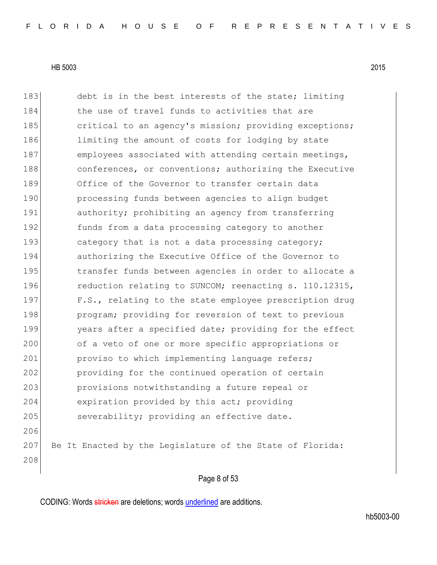183 debt is in the best interests of the state; limiting 184 the use of travel funds to activities that are 185 critical to an agency's mission; providing exceptions; 186 limiting the amount of costs for lodging by state 187 employees associated with attending certain meetings, 188 conferences, or conventions; authorizing the Executive 189 Office of the Governor to transfer certain data 190 **processing funds between agencies to align budget** 191 authority; prohibiting an agency from transferring 192 funds from a data processing category to another 193 category that is not a data processing category; 194 authorizing the Executive Office of the Governor to 195 transfer funds between agencies in order to allocate a 196 reduction relating to SUNCOM; reenacting s. 110.12315, 197 F.S., relating to the state employee prescription drug 198 **program;** providing for reversion of text to previous 199 years after a specified date; providing for the effect 200 of a veto of one or more specific appropriations or 201 proviso to which implementing language refers; 202 providing for the continued operation of certain 203 provisions notwithstanding a future repeal or 204 expiration provided by this act; providing 205 severability; providing an effective date. 206 207 Be It Enacted by the Legislature of the State of Florida: 208

Page 8 of 53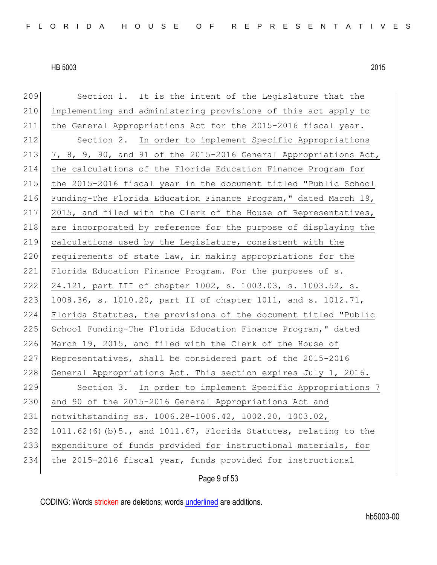| 209 | Section 1. It is the intent of the Legislature that the          |
|-----|------------------------------------------------------------------|
| 210 | implementing and administering provisions of this act apply to   |
| 211 | the General Appropriations Act for the 2015-2016 fiscal year.    |
| 212 | Section 2. In order to implement Specific Appropriations         |
| 213 | 7, 8, 9, 90, and 91 of the 2015-2016 General Appropriations Act, |
| 214 | the calculations of the Florida Education Finance Program for    |
| 215 | the 2015-2016 fiscal year in the document titled "Public School  |
| 216 | Funding-The Florida Education Finance Program, " dated March 19, |
| 217 | 2015, and filed with the Clerk of the House of Representatives,  |
| 218 | are incorporated by reference for the purpose of displaying the  |
| 219 | calculations used by the Legislature, consistent with the        |
| 220 | requirements of state law, in making appropriations for the      |
| 221 | Florida Education Finance Program. For the purposes of s.        |
| 222 | 24.121, part III of chapter 1002, s. 1003.03, s. 1003.52, s.     |
| 223 | 1008.36, s. 1010.20, part II of chapter 1011, and s. 1012.71,    |
| 224 | Florida Statutes, the provisions of the document titled "Public  |
| 225 | School Funding-The Florida Education Finance Program," dated     |
| 226 | March 19, 2015, and filed with the Clerk of the House of         |
| 227 | Representatives, shall be considered part of the 2015-2016       |
| 228 | General Appropriations Act. This section expires July 1, 2016.   |
| 229 | Section 3. In order to implement Specific Appropriations 7       |
| 230 | and 90 of the 2015-2016 General Appropriations Act and           |
| 231 | notwithstanding ss. 1006.28-1006.42, 1002.20, 1003.02,           |
| 232 | 1011.62(6)(b) 5., and 1011.67, Florida Statutes, relating to the |
| 233 | expenditure of funds provided for instructional materials, for   |
| 234 | the 2015-2016 fiscal year, funds provided for instructional      |
|     |                                                                  |

Page 9 of 53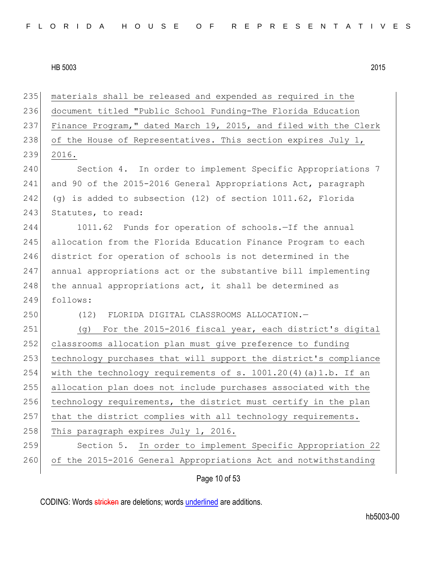| 235 | materials shall be released and expended as required in the       |
|-----|-------------------------------------------------------------------|
| 236 | document titled "Public School Funding-The Florida Education      |
| 237 | Finance Program," dated March 19, 2015, and filed with the Clerk  |
| 238 | of the House of Representatives. This section expires July 1,     |
| 239 | 2016.                                                             |
| 240 | Section 4. In order to implement Specific Appropriations 7        |
| 241 | and 90 of the 2015-2016 General Appropriations Act, paragraph     |
| 242 | (g) is added to subsection $(12)$ of section $1011.62$ , Florida  |
| 243 | Statutes, to read:                                                |
| 244 | 1011.62 Funds for operation of schools.-If the annual             |
| 245 | allocation from the Florida Education Finance Program to each     |
| 246 | district for operation of schools is not determined in the        |
| 247 | annual appropriations act or the substantive bill implementing    |
| 248 | the annual appropriations act, it shall be determined as          |
| 249 | follows:                                                          |
| 250 | (12) FLORIDA DIGITAL CLASSROOMS ALLOCATION.-                      |
| 251 | For the 2015-2016 fiscal year, each district's digital<br>(q)     |
| 252 | classrooms allocation plan must give preference to funding        |
| 253 | technology purchases that will support the district's compliance  |
| 254 | with the technology requirements of s. $1001.20(4)$ (a)1.b. If an |
| 255 | allocation plan does not include purchases associated with the    |
| 256 | technology requirements, the district must certify in the plan    |
| 257 | that the district complies with all technology requirements.      |
| 258 | This paragraph expires July 1, 2016.                              |
| 259 | Section 5.<br>In order to implement Specific Appropriation 22     |
| 260 | of the 2015-2016 General Appropriations Act and notwithstanding   |
|     | Page 10 of 53                                                     |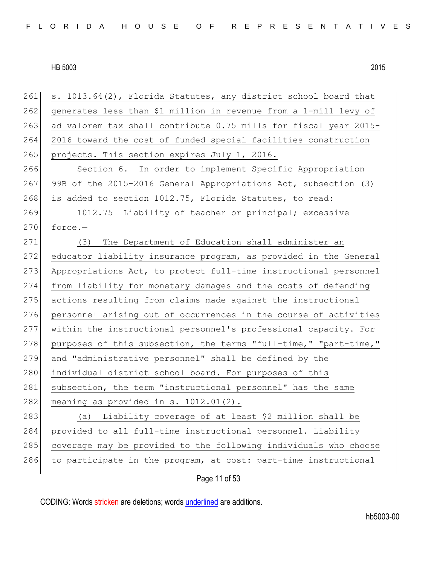261 s. 1013.64(2), Florida Statutes, any district school board that 262 generates less than \$1 million in revenue from a 1-mill levy of 263 ad valorem tax shall contribute 0.75 mills for fiscal year 2015-264 2016 toward the cost of funded special facilities construction 265 projects. This section expires July 1, 2016. 266 Section 6. In order to implement Specific Appropriation 267 99B of the 2015-2016 General Appropriations Act, subsection (3) 268 is added to section 1012.75, Florida Statutes, to read: 269 1012.75 Liability of teacher or principal; excessive  $270$  force.-271 (3) The Department of Education shall administer an 272 educator liability insurance program, as provided in the General 273 Appropriations Act, to protect full-time instructional personnel 274 from liability for monetary damages and the costs of defending 275 actions resulting from claims made against the instructional 276 personnel arising out of occurrences in the course of activities 277 within the instructional personnel's professional capacity. For 278 purposes of this subsection, the terms "full-time," "part-time," 279 and "administrative personnel" shall be defined by the 280 individual district school board. For purposes of this 281 subsection, the term "instructional personnel" has the same 282 meaning as provided in s.  $1012.01(2)$ . 283 (a) Liability coverage of at least \$2 million shall be 284 provided to all full-time instructional personnel. Liability 285 coverage may be provided to the following individuals who choose 286 to participate in the program, at cost: part-time instructional

Page 11 of 53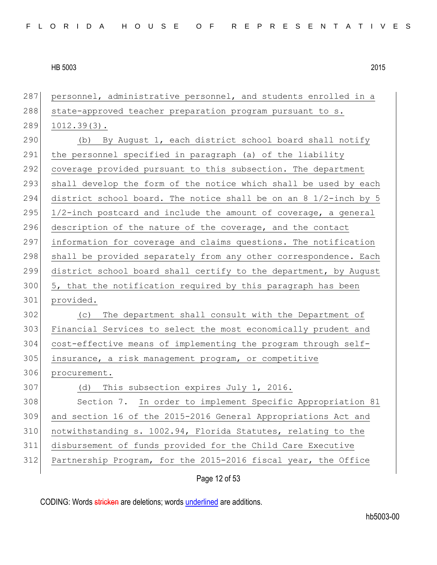| 287 | personnel, administrative personnel, and students enrolled in a  |
|-----|------------------------------------------------------------------|
| 288 | state-approved teacher preparation program pursuant to s.        |
| 289 | $1012.39(3)$ .                                                   |
| 290 | (b) By August 1, each district school board shall notify         |
| 291 | the personnel specified in paragraph (a) of the liability        |
| 292 | coverage provided pursuant to this subsection. The department    |
| 293 | shall develop the form of the notice which shall be used by each |
| 294 | district school board. The notice shall be on an 8 1/2-inch by 5 |
| 295 | 1/2-inch postcard and include the amount of coverage, a general  |
| 296 | description of the nature of the coverage, and the contact       |
| 297 | information for coverage and claims questions. The notification  |
| 298 | shall be provided separately from any other correspondence. Each |
| 299 | district school board shall certify to the department, by August |
| 300 | 5, that the notification required by this paragraph has been     |
| 301 | provided.                                                        |
| 302 | The department shall consult with the Department of<br>(C)       |
| 303 | Financial Services to select the most economically prudent and   |
| 304 | cost-effective means of implementing the program through self-   |
| 305 | insurance, a risk management program, or competitive             |
| 306 | procurement.                                                     |
| 307 | (d) This subsection expires July 1, 2016.                        |
| 308 | Section 7. In order to implement Specific Appropriation 81       |
| 309 | and section 16 of the 2015-2016 General Appropriations Act and   |
| 310 | notwithstanding s. 1002.94, Florida Statutes, relating to the    |
| 311 | disbursement of funds provided for the Child Care Executive      |
| 312 | Partnership Program, for the 2015-2016 fiscal year, the Office   |
|     |                                                                  |

Page 12 of 53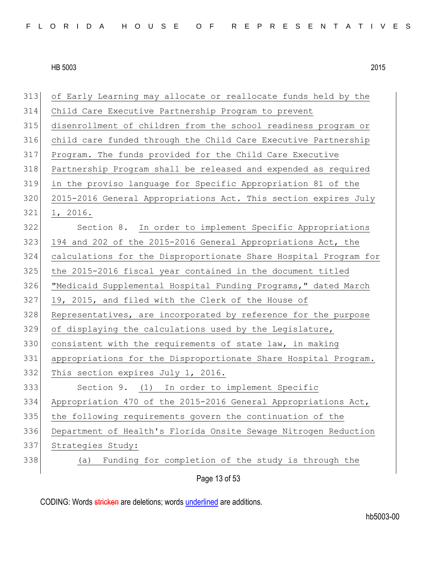|     | Page 13 of 53                                                    |
|-----|------------------------------------------------------------------|
| 338 | Funding for completion of the study is through the<br>(a)        |
| 337 | Strategies Study:                                                |
| 336 | Department of Health's Florida Onsite Sewage Nitrogen Reduction  |
| 335 | the following requirements govern the continuation of the        |
| 334 | Appropriation 470 of the 2015-2016 General Appropriations Act,   |
| 333 | Section 9. (1) In order to implement Specific                    |
| 332 | This section expires July 1, 2016.                               |
| 331 | appropriations for the Disproportionate Share Hospital Program.  |
| 330 | consistent with the requirements of state law, in making         |
| 329 | of displaying the calculations used by the Legislature,          |
| 328 | Representatives, are incorporated by reference for the purpose   |
| 327 | 19, 2015, and filed with the Clerk of the House of               |
| 326 | "Medicaid Supplemental Hospital Funding Programs," dated March   |
| 325 | the 2015-2016 fiscal year contained in the document titled       |
| 324 | calculations for the Disproportionate Share Hospital Program for |
| 323 | 194 and 202 of the 2015-2016 General Appropriations Act, the     |
| 322 | Section 8. In order to implement Specific Appropriations         |
| 321 | 1, 2016.                                                         |
| 320 | 2015-2016 General Appropriations Act. This section expires July  |
| 319 | in the proviso language for Specific Appropriation 81 of the     |
| 318 | Partnership Program shall be released and expended as required   |
| 317 | Program. The funds provided for the Child Care Executive         |
| 316 | child care funded through the Child Care Executive Partnership   |
| 315 | disenrollment of children from the school readiness program or   |
| 314 | Child Care Executive Partnership Program to prevent              |
| 313 | of Early Learning may allocate or reallocate funds held by the   |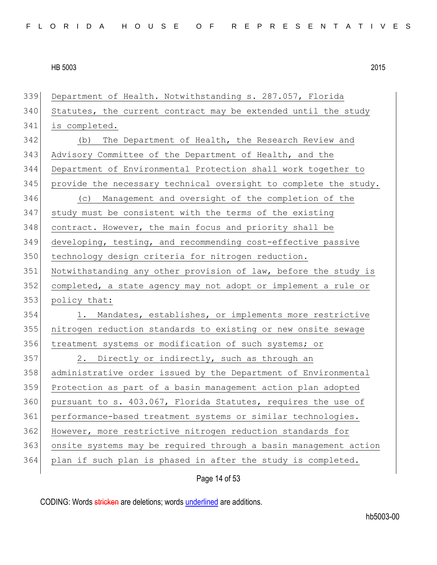| 339 | Department of Health. Notwithstanding s. 287.057, Florida        |
|-----|------------------------------------------------------------------|
| 340 | Statutes, the current contract may be extended until the study   |
| 341 | is completed.                                                    |
| 342 | The Department of Health, the Research Review and<br>(b)         |
| 343 | Advisory Committee of the Department of Health, and the          |
| 344 | Department of Environmental Protection shall work together to    |
| 345 | provide the necessary technical oversight to complete the study. |
| 346 | (c) Management and oversight of the completion of the            |
| 347 | study must be consistent with the terms of the existing          |
| 348 | contract. However, the main focus and priority shall be          |
| 349 | developing, testing, and recommending cost-effective passive     |
| 350 | technology design criteria for nitrogen reduction.               |
| 351 | Notwithstanding any other provision of law, before the study is  |
| 352 | completed, a state agency may not adopt or implement a rule or   |
| 353 | policy that:                                                     |
| 354 | Mandates, establishes, or implements more restrictive<br>1.      |
| 355 | nitrogen reduction standards to existing or new onsite sewage    |
| 356 | treatment systems or modification of such systems; or            |
| 357 | 2. Directly or indirectly, such as through an                    |
| 358 | administrative order issued by the Department of Environmental   |
| 359 | Protection as part of a basin management action plan adopted     |
| 360 | pursuant to s. 403.067, Florida Statutes, requires the use of    |
| 361 | performance-based treatment systems or similar technologies.     |
| 362 | However, more restrictive nitrogen reduction standards for       |
| 363 | onsite systems may be required through a basin management action |
| 364 | plan if such plan is phased in after the study is completed.     |
|     | Page 14 of 53                                                    |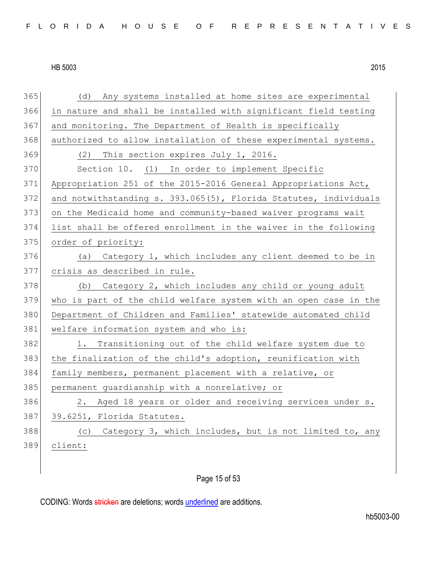| 365 | Any systems installed at home sites are experimental<br>(d)      |
|-----|------------------------------------------------------------------|
| 366 | in nature and shall be installed with significant field testing  |
| 367 | and monitoring. The Department of Health is specifically         |
| 368 | authorized to allow installation of these experimental systems.  |
| 369 | (2) This section expires July 1, 2016.                           |
| 370 | Section 10. (1) In order to implement Specific                   |
| 371 | Appropriation 251 of the 2015-2016 General Appropriations Act,   |
| 372 | and notwithstanding s. 393.065(5), Florida Statutes, individuals |
| 373 | on the Medicaid home and community-based waiver programs wait    |
| 374 | list shall be offered enrollment in the waiver in the following  |
| 375 | order of priority:                                               |
| 376 | Category 1, which includes any client deemed to be in<br>(a)     |
| 377 | crisis as described in rule.                                     |
| 378 | (b) Category 2, which includes any child or young adult          |
| 379 | who is part of the child welfare system with an open case in the |
| 380 | Department of Children and Families' statewide automated child   |
| 381 | welfare information system and who is:                           |
| 382 | 1. Transitioning out of the child welfare system due to          |
| 383 | the finalization of the child's adoption, reunification with     |
| 384 | family members, permanent placement with a relative, or          |
| 385 | permanent guardianship with a nonrelative; or                    |
| 386 | 2. Aged 18 years or older and receiving services under s.        |
| 387 | 39.6251, Florida Statutes.                                       |
| 388 | (c) Category 3, which includes, but is not limited to, any       |
| 389 | client:                                                          |
|     |                                                                  |

## Page 15 of 53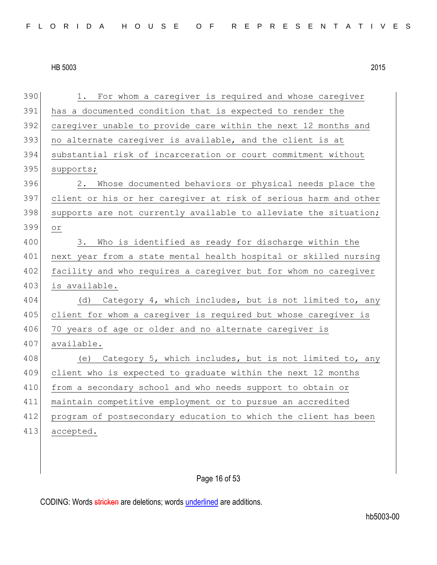| 390 | For whom a caregiver is required and whose caregiver<br>1.       |
|-----|------------------------------------------------------------------|
| 391 | has a documented condition that is expected to render the        |
| 392 | caregiver unable to provide care within the next 12 months and   |
| 393 | no alternate caregiver is available, and the client is at        |
| 394 | substantial risk of incarceration or court commitment without    |
| 395 | supports;                                                        |
| 396 | Whose documented behaviors or physical needs place the<br>2.     |
| 397 | client or his or her caregiver at risk of serious harm and other |
| 398 | supports are not currently available to alleviate the situation; |
| 399 | $\circ r$                                                        |
| 400 | Who is identified as ready for discharge within the<br>3.        |
| 401 | next year from a state mental health hospital or skilled nursing |
| 402 | facility and who requires a caregiver but for whom no caregiver  |
| 403 | is available.                                                    |
| 404 | (d) Category 4, which includes, but is not limited to, any       |
| 405 | client for whom a caregiver is required but whose caregiver is   |
| 406 | 70 years of age or older and no alternate caregiver is           |
| 407 | available.                                                       |
| 408 | (e) Category 5, which includes, but is not limited to, any       |
| 409 | client who is expected to graduate within the next 12 months     |
| 410 | from a secondary school and who needs support to obtain or       |
| 411 | maintain competitive employment or to pursue an accredited       |
| 412 | program of postsecondary education to which the client has been  |
| 413 | accepted.                                                        |
|     |                                                                  |

## Page 16 of 53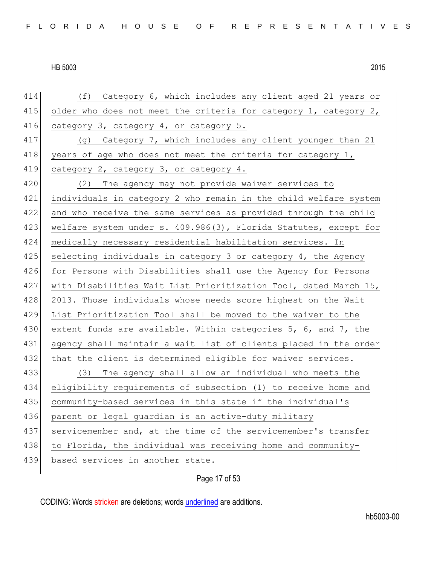| 414 | Category 6, which includes any client aged 21 years or<br>(f)    |
|-----|------------------------------------------------------------------|
| 415 | older who does not meet the criteria for category 1, category 2, |
| 416 | category 3, category 4, or category 5.                           |
| 417 | (g) Category 7, which includes any client younger than 21        |
| 418 | years of age who does not meet the criteria for category 1,      |
| 419 | category 2, category 3, or category 4.                           |
| 420 | (2) The agency may not provide waiver services to                |
| 421 | individuals in category 2 who remain in the child welfare system |
| 422 | and who receive the same services as provided through the child  |
| 423 | welfare system under s. 409.986(3), Florida Statutes, except for |
| 424 | medically necessary residential habilitation services. In        |
| 425 | selecting individuals in category 3 or category 4, the Agency    |
| 426 | for Persons with Disabilities shall use the Agency for Persons   |
| 427 | with Disabilities Wait List Prioritization Tool, dated March 15, |
| 428 | 2013. Those individuals whose needs score highest on the Wait    |
| 429 | List Prioritization Tool shall be moved to the waiver to the     |
| 430 | extent funds are available. Within categories 5, 6, and 7, the   |
| 431 | agency shall maintain a wait list of clients placed in the order |
| 432 | that the client is determined eligible for waiver services.      |
| 433 | The agency shall allow an individual who meets the<br>(3)        |
| 434 | eligibility requirements of subsection (1) to receive home and   |
| 435 | community-based services in this state if the individual's       |
| 436 | parent or legal guardian is an active-duty military              |
| 437 | servicemember and, at the time of the servicemember's transfer   |
| 438 | to Florida, the individual was receiving home and community-     |
| 439 | based services in another state.                                 |
|     |                                                                  |

Page 17 of 53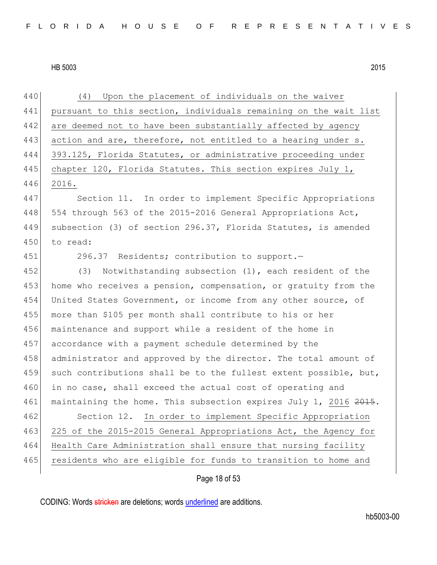440 (4) Upon the placement of individuals on the waiver 441 pursuant to this section, individuals remaining on the wait list 442 are deemed not to have been substantially affected by agency 443 action and are, therefore, not entitled to a hearing under s. 444 393.125, Florida Statutes, or administrative proceeding under 445 chapter 120, Florida Statutes. This section expires July 1, 446 2016. 447 Section 11. In order to implement Specific Appropriations 448 554 through 563 of the 2015-2016 General Appropriations Act, 449 subsection (3) of section 296.37, Florida Statutes, is amended 450 to read: 451 296.37 Residents; contribution to support.— 452 (3) Notwithstanding subsection (1), each resident of the 453 home who receives a pension, compensation, or gratuity from the 454 United States Government, or income from any other source, of 455 more than \$105 per month shall contribute to his or her 456 maintenance and support while a resident of the home in 457 accordance with a payment schedule determined by the 458 administrator and approved by the director. The total amount of 459 such contributions shall be to the fullest extent possible, but, 460 in no case, shall exceed the actual cost of operating and 461 maintaining the home. This subsection expires July 1, 2016 2015. 462 Section 12. In order to implement Specific Appropriation 463 225 of the 2015-2015 General Appropriations Act, the Agency for 464 Health Care Administration shall ensure that nursing facility 465 residents who are eligible for funds to transition to home and

Page 18 of 53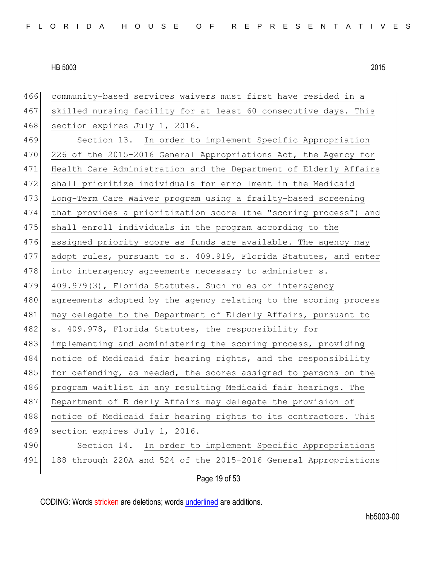| 466 | community-based services waivers must first have resided in a    |
|-----|------------------------------------------------------------------|
| 467 | skilled nursing facility for at least 60 consecutive days. This  |
| 468 | section expires July 1, 2016.                                    |
| 469 | Section 13. In order to implement Specific Appropriation         |
| 470 | 226 of the 2015-2016 General Appropriations Act, the Agency for  |
| 471 | Health Care Administration and the Department of Elderly Affairs |
| 472 | shall prioritize individuals for enrollment in the Medicaid      |
| 473 | Long-Term Care Waiver program using a frailty-based screening    |
| 474 | that provides a prioritization score (the "scoring process") and |
| 475 | shall enroll individuals in the program according to the         |
| 476 | assigned priority score as funds are available. The agency may   |
| 477 | adopt rules, pursuant to s. 409.919, Florida Statutes, and enter |
| 478 | into interagency agreements necessary to administer s.           |
| 479 | 409.979(3), Florida Statutes. Such rules or interagency          |
| 480 | agreements adopted by the agency relating to the scoring process |
| 481 | may delegate to the Department of Elderly Affairs, pursuant to   |
| 482 | s. 409.978, Florida Statutes, the responsibility for             |
| 483 | implementing and administering the scoring process, providing    |
| 484 | notice of Medicaid fair hearing rights, and the responsibility   |
| 485 | for defending, as needed, the scores assigned to persons on the  |
| 486 | program waitlist in any resulting Medicaid fair hearings. The    |
| 487 | Department of Elderly Affairs may delegate the provision of      |
| 488 | notice of Medicaid fair hearing rights to its contractors. This  |
| 489 | section expires July 1, 2016.                                    |
| 490 | In order to implement Specific Appropriations<br>Section 14.     |
| 491 | 188 through 220A and 524 of the 2015-2016 General Appropriations |
|     | Page 19 of 53                                                    |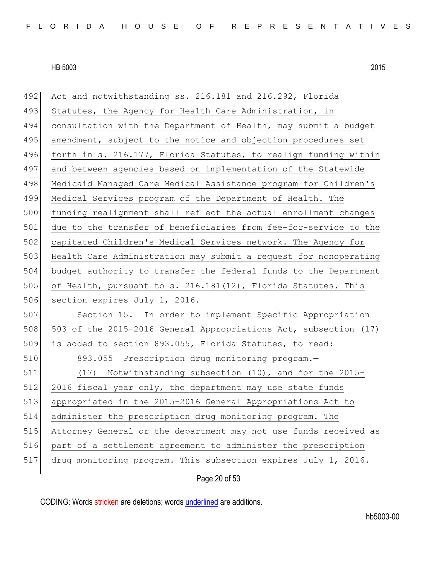| 492 | Act and notwithstanding ss. 216.181 and 216.292, Florida         |
|-----|------------------------------------------------------------------|
| 493 | Statutes, the Agency for Health Care Administration, in          |
| 494 | consultation with the Department of Health, may submit a budget  |
| 495 | amendment, subject to the notice and objection procedures set    |
| 496 | forth in s. 216.177, Florida Statutes, to realign funding within |
| 497 | and between agencies based on implementation of the Statewide    |
| 498 | Medicaid Managed Care Medical Assistance program for Children's  |
| 499 | Medical Services program of the Department of Health. The        |
| 500 | funding realignment shall reflect the actual enrollment changes  |
| 501 | due to the transfer of beneficiaries from fee-for-service to the |
| 502 | capitated Children's Medical Services network. The Agency for    |
| 503 | Health Care Administration may submit a request for nonoperating |
| 504 | budget authority to transfer the federal funds to the Department |
| 505 | of Health, pursuant to s. 216.181(12), Florida Statutes. This    |
| 506 | section expires July 1, 2016.                                    |
| 507 | Section 15. In order to implement Specific Appropriation         |
| 508 | 503 of the 2015-2016 General Appropriations Act, subsection (17) |
| 509 | is added to section 893.055, Florida Statutes, to read:          |
| 510 | 893.055 Prescription drug monitoring program.-                   |
| 511 | (17) Notwithstanding subsection (10), and for the 2015-          |
| 512 | 2016 fiscal year only, the department may use state funds        |
| 513 | appropriated in the 2015-2016 General Appropriations Act to      |
| 514 | administer the prescription drug monitoring program. The         |
| 515 | Attorney General or the department may not use funds received as |
| 516 | part of a settlement agreement to administer the prescription    |
| 517 | drug monitoring program. This subsection expires July 1, 2016.   |

## Page 20 of 53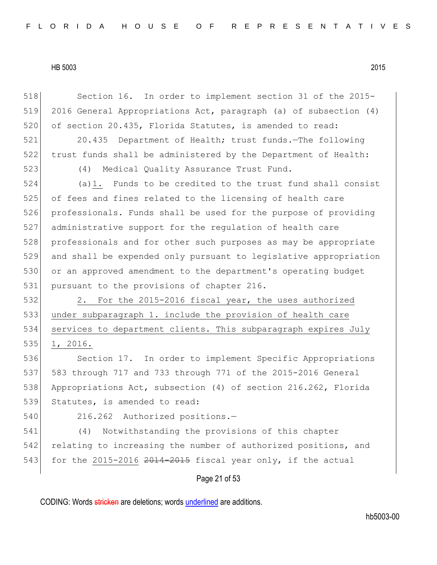Page 21 of 53 518 Section 16. In order to implement section 31 of the 2015-519 2016 General Appropriations Act, paragraph (a) of subsection (4) 520 of section 20.435, Florida Statutes, is amended to read: 521 20.435 Department of Health; trust funds.—The following 522 trust funds shall be administered by the Department of Health: 523 (4) Medical Quality Assurance Trust Fund. 524 (a)1. Funds to be credited to the trust fund shall consist 525 of fees and fines related to the licensing of health care 526 professionals. Funds shall be used for the purpose of providing 527 administrative support for the regulation of health care 528 professionals and for other such purposes as may be appropriate 529 and shall be expended only pursuant to legislative appropriation 530 or an approved amendment to the department's operating budget 531 pursuant to the provisions of chapter 216. 532 2. For the 2015-2016 fiscal year, the uses authorized 533 under subparagraph 1. include the provision of health care 534 services to department clients. This subparagraph expires July 535 1, 2016. 536 Section 17. In order to implement Specific Appropriations 537 583 through 717 and 733 through 771 of the 2015-2016 General 538 Appropriations Act, subsection (4) of section 216.262, Florida 539 Statutes, is amended to read: 540 216.262 Authorized positions.— 541 (4) Notwithstanding the provisions of this chapter 542 relating to increasing the number of authorized positions, and 543 for the 2015-2016  $2014-2015$  fiscal year only, if the actual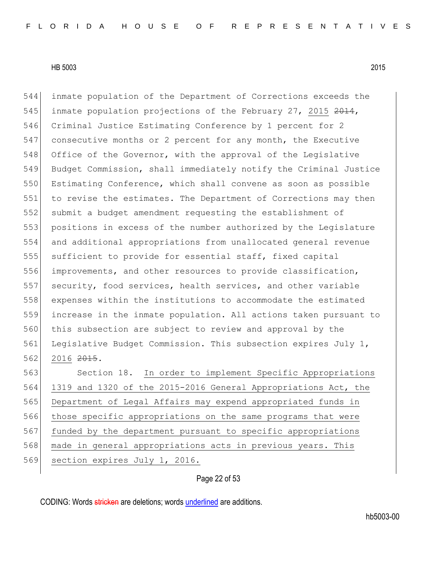inmate population of the Department of Corrections exceeds the 545 inmate population projections of the February 27, 2015 2014, Criminal Justice Estimating Conference by 1 percent for 2 consecutive months or 2 percent for any month, the Executive 548 Office of the Governor, with the approval of the Legislative Budget Commission, shall immediately notify the Criminal Justice Estimating Conference, which shall convene as soon as possible to revise the estimates. The Department of Corrections may then submit a budget amendment requesting the establishment of positions in excess of the number authorized by the Legislature and additional appropriations from unallocated general revenue sufficient to provide for essential staff, fixed capital improvements, and other resources to provide classification, security, food services, health services, and other variable expenses within the institutions to accommodate the estimated increase in the inmate population. All actions taken pursuant to this subsection are subject to review and approval by the 561 Legislative Budget Commission. This subsection expires July 1, 562 2016 <del>2015</del>. Section 18. In order to implement Specific Appropriations 1319 and 1320 of the 2015-2016 General Appropriations Act, the Department of Legal Affairs may expend appropriated funds in those specific appropriations on the same programs that were 567 funded by the department pursuant to specific appropriations

568 | made in general appropriations acts in previous years.

569 section expires July 1, 2016.

#### Page 22 of 53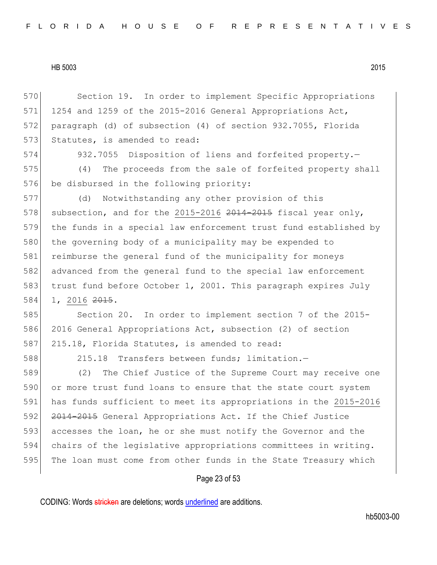570 Section 19. In order to implement Specific Appropriations 571 1254 and 1259 of the 2015-2016 General Appropriations Act, 572 paragraph (d) of subsection (4) of section 932.7055, Florida 573 Statutes, is amended to read:

574 932.7055 Disposition of liens and forfeited property.—

575 (4) The proceeds from the sale of forfeited property shall 576 be disbursed in the following priority:

577 (d) Notwithstanding any other provision of this 578 subsection, and for the 2015-2016  $2014-2015$  fiscal year only, 579 the funds in a special law enforcement trust fund established by 580 the governing body of a municipality may be expended to 581 reimburse the general fund of the municipality for moneys 582 advanced from the general fund to the special law enforcement 583 trust fund before October 1, 2001. This paragraph expires July 584 1, 2016 <del>2015</del>.

585 Section 20. In order to implement section 7 of the 2015-586 2016 General Appropriations Act, subsection (2) of section 587 215.18, Florida Statutes, is amended to read:

588 215.18 Transfers between funds; limitation.—

589 (2) The Chief Justice of the Supreme Court may receive one 590 or more trust fund loans to ensure that the state court system 591 has funds sufficient to meet its appropriations in the 2015-2016 592 <del>2014-2015</del> General Appropriations Act. If the Chief Justice 593 accesses the loan, he or she must notify the Governor and the 594 chairs of the legislative appropriations committees in writing. 595 The loan must come from other funds in the State Treasury which

## Page 23 of 53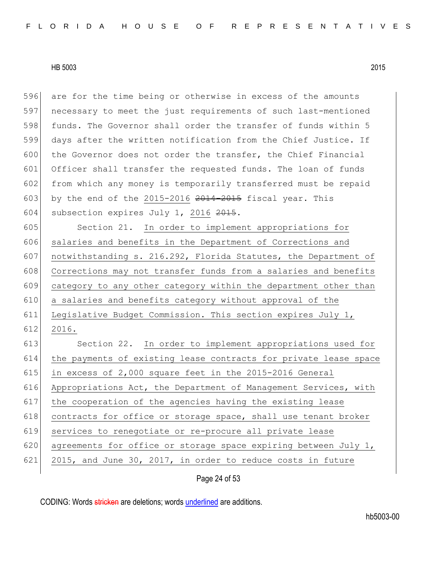596 are for the time being or otherwise in excess of the amounts 597 necessary to meet the just requirements of such last-mentioned 598 funds. The Governor shall order the transfer of funds within 5 599 days after the written notification from the Chief Justice. If 600 the Governor does not order the transfer, the Chief Financial 601 Officer shall transfer the requested funds. The loan of funds 602 from which any money is temporarily transferred must be repaid 603 by the end of the 2015-2016  $2014-2015$  fiscal year. This 604 subsection expires July 1, 2016 2015.

 Section 21. In order to implement appropriations for 606 salaries and benefits in the Department of Corrections and notwithstanding s. 216.292, Florida Statutes, the Department of 608 Corrections may not transfer funds from a salaries and benefits category to any other category within the department other than a salaries and benefits category without approval of the Legislative Budget Commission. This section expires July 1, 612 2016.

613 Section 22. In order to implement appropriations used for 614 the payments of existing lease contracts for private lease space 615 in excess of  $2,000$  square feet in the 2015-2016 General 616 Appropriations Act, the Department of Management Services, with 617 the cooperation of the agencies having the existing lease 618 contracts for office or storage space, shall use tenant broker 619 services to renegotiate or re-procure all private lease 620 agreements for office or storage space expiring between July 1, 621 2015, and June 30, 2017, in order to reduce costs in future

Page 24 of 53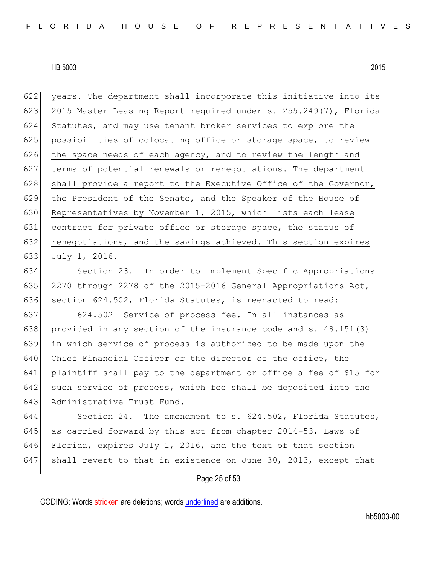622 years. The department shall incorporate this initiative into its 623 2015 Master Leasing Report required under s. 255.249(7), Florida 624 Statutes, and may use tenant broker services to explore the 625 possibilities of colocating office or storage space, to review 626 the space needs of each agency, and to review the length and 627 terms of potential renewals or renegotiations. The department 628 shall provide a report to the Executive Office of the Governor, 629 the President of the Senate, and the Speaker of the House of 630 Representatives by November 1, 2015, which lists each lease 631 contract for private office or storage space, the status of 632 renegotiations, and the savings achieved. This section expires 633 July 1, 2016.

634 Section 23. In order to implement Specific Appropriations 635 2270 through 2278 of the 2015-2016 General Appropriations Act, 636 section 624.502, Florida Statutes, is reenacted to read:

 624.502 Service of process fee.—In all instances as provided in any section of the insurance code and s. 48.151(3) in which service of process is authorized to be made upon the 640 Chief Financial Officer or the director of the office, the plaintiff shall pay to the department or office a fee of \$15 for 642 such service of process, which fee shall be deposited into the Administrative Trust Fund.

644 Section 24. The amendment to s. 624.502, Florida Statutes, 645 as carried forward by this act from chapter 2014-53, Laws of 646 Florida, expires July 1, 2016, and the text of that section 647 shall revert to that in existence on June 30, 2013, except that

Page 25 of 53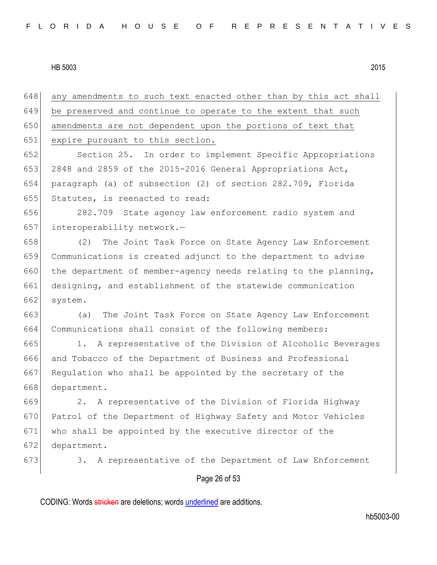Page 26 of 53 any amendments to such text enacted other than by this act shall be preserved and continue to operate to the extent that such 650 amendments are not dependent upon the portions of text that expire pursuant to this section. Section 25. In order to implement Specific Appropriations 2848 and 2859 of the 2015-2016 General Appropriations Act, paragraph (a) of subsection (2) of section 282.709, Florida Statutes, is reenacted to read: 282.709 State agency law enforcement radio system and 657 interoperability network.- (2) The Joint Task Force on State Agency Law Enforcement Communications is created adjunct to the department to advise 660 the department of member-agency needs relating to the planning, designing, and establishment of the statewide communication system. (a) The Joint Task Force on State Agency Law Enforcement Communications shall consist of the following members: 1. A representative of the Division of Alcoholic Beverages and Tobacco of the Department of Business and Professional Regulation who shall be appointed by the secretary of the 668 department. 2. A representative of the Division of Florida Highway 670 Patrol of the Department of Highway Safety and Motor Vehicles who shall be appointed by the executive director of the department. 673 3. A representative of the Department of Law Enforcement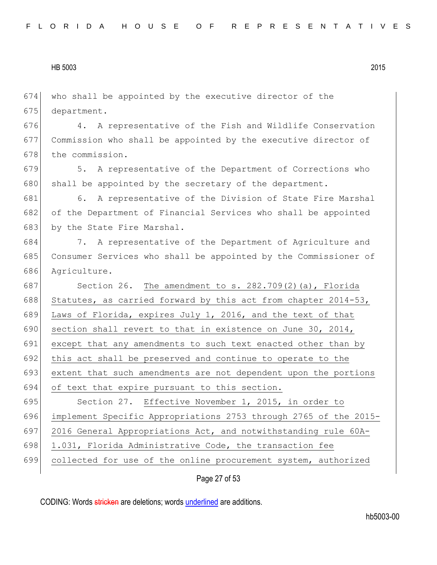who shall be appointed by the executive director of the 675 department. 4. A representative of the Fish and Wildlife Conservation Commission who shall be appointed by the executive director of 678 the commission. 5. A representative of the Department of Corrections who 680 shall be appointed by the secretary of the department. 681 6. A representative of the Division of State Fire Marshal of the Department of Financial Services who shall be appointed 683 by the State Fire Marshal. 7. A representative of the Department of Agriculture and Consumer Services who shall be appointed by the Commissioner of Agriculture. 687 Section 26. The amendment to s. 282.709(2)(a), Florida 688 Statutes, as carried forward by this act from chapter  $2014-53$ , Laws of Florida, expires July 1, 2016, and the text of that 690 section shall revert to that in existence on June 30, 2014, except that any amendments to such text enacted other than by this act shall be preserved and continue to operate to the extent that such amendments are not dependent upon the portions of text that expire pursuant to this section. 695 Section 27. Effective November 1, 2015, in order to implement Specific Appropriations 2753 through 2765 of the 2015- 2016 General Appropriations Act, and notwithstanding rule 60A-698 1.031, Florida Administrative Code, the transaction fee collected for use of the online procurement system, authorized

Page 27 of 53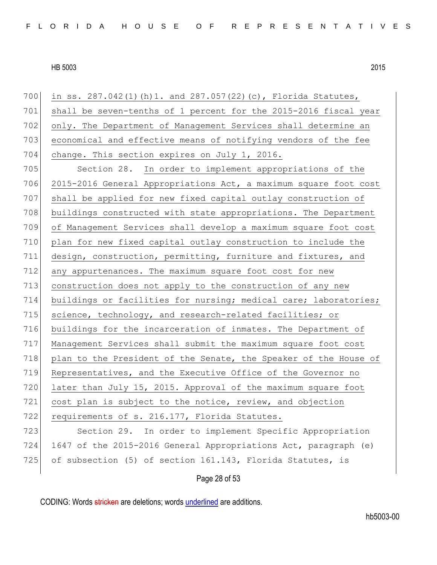| 700 | in ss. 287.042(1)(h)1. and 287.057(22)(c), Florida Statutes,     |
|-----|------------------------------------------------------------------|
| 701 | shall be seven-tenths of 1 percent for the 2015-2016 fiscal year |
| 702 | only. The Department of Management Services shall determine an   |
| 703 | economical and effective means of notifying vendors of the fee   |
| 704 | change. This section expires on July 1, 2016.                    |
| 705 | Section 28. In order to implement appropriations of the          |
| 706 | 2015-2016 General Appropriations Act, a maximum square foot cost |
| 707 | shall be applied for new fixed capital outlay construction of    |
| 708 | buildings constructed with state appropriations. The Department  |
| 709 | of Management Services shall develop a maximum square foot cost  |
| 710 | plan for new fixed capital outlay construction to include the    |
| 711 | design, construction, permitting, furniture and fixtures, and    |
| 712 | any appurtenances. The maximum square foot cost for new          |
| 713 | construction does not apply to the construction of any new       |
| 714 | buildings or facilities for nursing; medical care; laboratories; |
| 715 | science, technology, and research-related facilities; or         |
| 716 | buildings for the incarceration of inmates. The Department of    |
| 717 | Management Services shall submit the maximum square foot cost    |
| 718 | plan to the President of the Senate, the Speaker of the House of |
| 719 | Representatives, and the Executive Office of the Governor no     |
| 720 | later than July 15, 2015. Approval of the maximum square foot    |
| 721 | cost plan is subject to the notice, review, and objection        |
| 722 | requirements of s. 216.177, Florida Statutes.                    |
| 723 | Section 29. In order to implement Specific Appropriation         |
| 724 | 1647 of the 2015-2016 General Appropriations Act, paragraph (e)  |
| 725 | of subsection (5) of section 161.143, Florida Statutes, is       |
|     |                                                                  |

## Page 28 of 53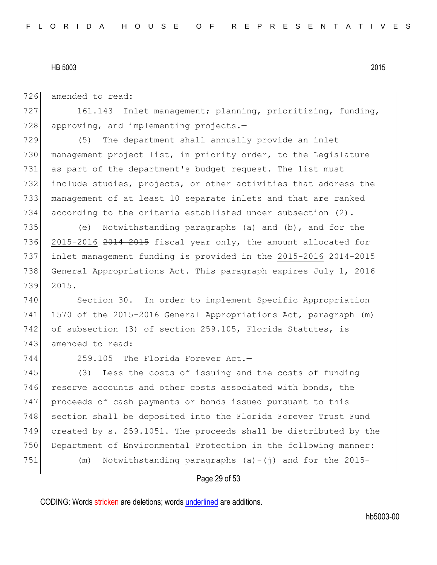726 amended to read:

727 161.143 Inlet management; planning, prioritizing, funding,  $728$  approving, and implementing projects.

 (5) The department shall annually provide an inlet management project list, in priority order, to the Legislature as part of the department's budget request. The list must include studies, projects, or other activities that address the management of at least 10 separate inlets and that are ranked according to the criteria established under subsection (2).

735 (e) Notwithstanding paragraphs (a) and (b), and for the 736 2015-2016 2014-2015 fiscal year only, the amount allocated for 737 inlet management funding is provided in the 2015-2016 2014-2015 738 General Appropriations Act. This paragraph expires July 1, 2016 739 2015.

740 Section 30. In order to implement Specific Appropriation 741 1570 of the 2015-2016 General Appropriations Act, paragraph (m) 742 of subsection (3) of section 259.105, Florida Statutes, is 743 amended to read:

744 259.105 The Florida Forever Act.—

745 (3) Less the costs of issuing and the costs of funding 746 reserve accounts and other costs associated with bonds, the 747 proceeds of cash payments or bonds issued pursuant to this 748 section shall be deposited into the Florida Forever Trust Fund 749 created by s. 259.1051. The proceeds shall be distributed by the 750 Department of Environmental Protection in the following manner: 751  $(m)$  Notwithstanding paragraphs  $(a)-(j)$  and for the 2015-

## Page 29 of 53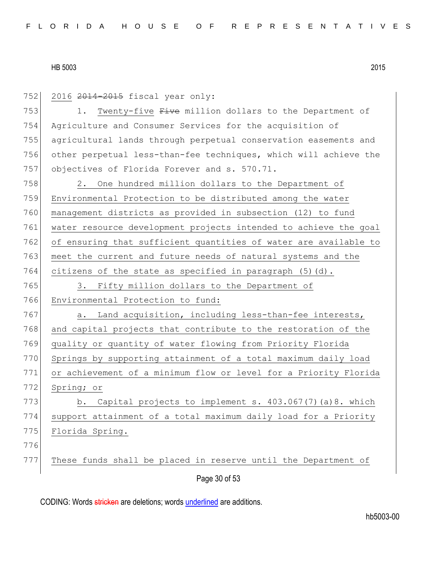| 752 | 2016 2014-2015 fiscal year only:                                 |
|-----|------------------------------------------------------------------|
| 753 | Twenty-five Five million dollars to the Department of<br>1.      |
| 754 | Agriculture and Consumer Services for the acquisition of         |
| 755 | agricultural lands through perpetual conservation easements and  |
| 756 | other perpetual less-than-fee techniques, which will achieve the |
| 757 | objectives of Florida Forever and s. 570.71.                     |
| 758 | 2. One hundred million dollars to the Department of              |
| 759 | Environmental Protection to be distributed among the water       |
| 760 | management districts as provided in subsection (12) to fund      |
| 761 | water resource development projects intended to achieve the goal |
| 762 | of ensuring that sufficient quantities of water are available to |
| 763 | meet the current and future needs of natural systems and the     |
| 764 | citizens of the state as specified in paragraph $(5)$ $(d)$ .    |
| 765 | Fifty million dollars to the Department of<br>3.                 |
| 766 | Environmental Protection to fund:                                |
| 767 | Land acquisition, including less-than-fee interests,<br>а.       |
| 768 | and capital projects that contribute to the restoration of the   |
| 769 | quality or quantity of water flowing from Priority Florida       |
| 770 | Springs by supporting attainment of a total maximum daily load   |
| 771 | or achievement of a minimum flow or level for a Priority Florida |
| 772 | Spring; or                                                       |
| 773 | b. Capital projects to implement s. 403.067(7)(a)8. which        |
| 774 | support attainment of a total maximum daily load for a Priority  |
| 775 | Florida Spring.                                                  |
| 776 |                                                                  |
| 777 | These funds shall be placed in reserve until the Department of   |
|     | Page 30 of 53                                                    |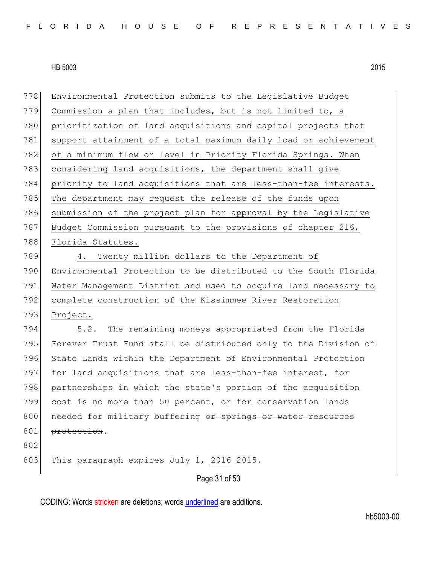778 Environmental Protection submits to the Legislative Budget 779 Commission a plan that includes, but is not limited to, a 780 prioritization of land acquisitions and capital projects that 781 support attainment of a total maximum daily load or achievement 782 of a minimum flow or level in Priority Florida Springs. When 783 considering land acquisitions, the department shall give 784 priority to land acquisitions that are less-than-fee interests. 785 The department may request the release of the funds upon 786 submission of the project plan for approval by the Legislative 787 Budget Commission pursuant to the provisions of chapter 216, 788 Florida Statutes. 789 4. Twenty million dollars to the Department of 790 Environmental Protection to be distributed to the South Florida 791 Water Management District and used to acquire land necessary to 792 complete construction of the Kissimmee River Restoration 793 Project. 794 5.2. The remaining moneys appropriated from the Florida 795 Forever Trust Fund shall be distributed only to the Division of 796 State Lands within the Department of Environmental Protection 797 for land acquisitions that are less-than-fee interest, for 798 partnerships in which the state's portion of the acquisition 799 cost is no more than 50 percent, or for conservation lands

800 needed for military buffering or springs or water resources 801 protection.

802

803 This paragraph expires July 1, 2016 2015.

Page 31 of 53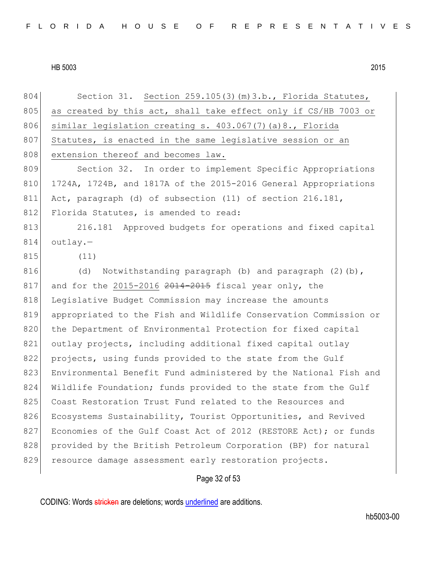804 Section 31. Section 259.105(3) (m) 3.b., Florida Statutes, 805 as created by this act, shall take effect only if CS/HB 7003 or 806 similar legislation creating s. 403.067(7)(a)8., Florida 807 Statutes, is enacted in the same legislative session or an 808 extension thereof and becomes law. 809 Section 32. In order to implement Specific Appropriations 810 1724A, 1724B, and 1817A of the 2015-2016 General Appropriations 811 Act, paragraph (d) of subsection (11) of section 216.181, 812 Florida Statutes, is amended to read: 813 216.181 Approved budgets for operations and fixed capital  $814$  outlay.-815 (11) 816 (d) Notwithstanding paragraph (b) and paragraph  $(2)$  (b),  $817$  and for the 2015-2016  $2014-2015$  fiscal year only, the 818 Legislative Budget Commission may increase the amounts 819 appropriated to the Fish and Wildlife Conservation Commission or 820 the Department of Environmental Protection for fixed capital 821 outlay projects, including additional fixed capital outlay 822 projects, using funds provided to the state from the Gulf 823 Environmental Benefit Fund administered by the National Fish and 824 Wildlife Foundation; funds provided to the state from the Gulf 825 Coast Restoration Trust Fund related to the Resources and 826 Ecosystems Sustainability, Tourist Opportunities, and Revived 827 Economies of the Gulf Coast Act of 2012 (RESTORE Act); or funds 828 provided by the British Petroleum Corporation (BP) for natural 829 resource damage assessment early restoration projects.

## Page 32 of 53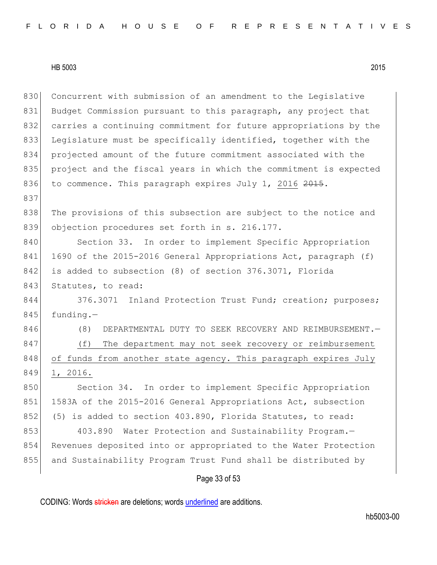837

830 Concurrent with submission of an amendment to the Legislative 831 Budget Commission pursuant to this paragraph, any project that 832 carries a continuing commitment for future appropriations by the 833 Legislature must be specifically identified, together with the 834 projected amount of the future commitment associated with the 835 project and the fiscal years in which the commitment is expected

838 The provisions of this subsection are subject to the notice and 839 objection procedures set forth in s. 216.177. 840 Section 33. In order to implement Specific Appropriation

836 to commence. This paragraph expires July 1, 2016 2015.

841 1690 of the 2015-2016 General Appropriations Act, paragraph (f) 842 is added to subsection (8) of section 376.3071, Florida 843 Statutes, to read:

844 376.3071 Inland Protection Trust Fund; creation; purposes;  $845$  funding.-

846 (8) DEPARTMENTAL DUTY TO SEEK RECOVERY AND REIMBURSEMENT. 847 (f) The department may not seek recovery or reimbursement 848 of funds from another state agency. This paragraph expires July 849 1, 2016.

850 Section 34. In order to implement Specific Appropriation 851 1583A of the 2015-2016 General Appropriations Act, subsection 852 (5) is added to section 403.890, Florida Statutes, to read:

853 403.890 Water Protection and Sustainability Program.-854 Revenues deposited into or appropriated to the Water Protection 855 and Sustainability Program Trust Fund shall be distributed by

## Page 33 of 53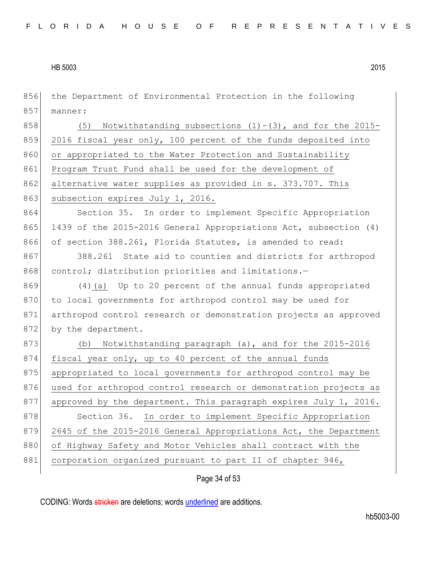| 856 | the Department of Environmental Protection in the following        |
|-----|--------------------------------------------------------------------|
| 857 | manner:                                                            |
| 858 | Notwithstanding subsections $(1) - (3)$ , and for the 2015-<br>(5) |
| 859 | 2016 fiscal year only, 100 percent of the funds deposited into     |
| 860 | or appropriated to the Water Protection and Sustainability         |
| 861 | Program Trust Fund shall be used for the development of            |
| 862 | alternative water supplies as provided in s. 373.707. This         |
| 863 | subsection expires July 1, 2016.                                   |
| 864 | Section 35. In order to implement Specific Appropriation           |
| 865 | 1439 of the 2015-2016 General Appropriations Act, subsection (4)   |
| 866 | of section 388.261, Florida Statutes, is amended to read:          |
| 867 | 388.261 State aid to counties and districts for arthropod          |
| 868 | control; distribution priorities and limitations.-                 |
| 869 | (4) (a) Up to 20 percent of the annual funds appropriated          |
| 870 | to local governments for arthropod control may be used for         |
| 871 | arthropod control research or demonstration projects as approved   |
| 872 | by the department.                                                 |
| 873 | Notwithstanding paragraph (a), and for the 2015-2016<br>(b)        |
| 874 | fiscal year only, up to 40 percent of the annual funds             |
| 875 | appropriated to local governments for arthropod control may be     |
| 876 | used for arthropod control research or demonstration projects as   |
| 877 | approved by the department. This paragraph expires July 1, 2016.   |
| 878 | Section 36. In order to implement Specific Appropriation           |
| 879 | 2645 of the 2015-2016 General Appropriations Act, the Department   |
| 880 | of Highway Safety and Motor Vehicles shall contract with the       |
| 881 | corporation organized pursuant to part II of chapter 946,          |
|     | Page 34 of 53                                                      |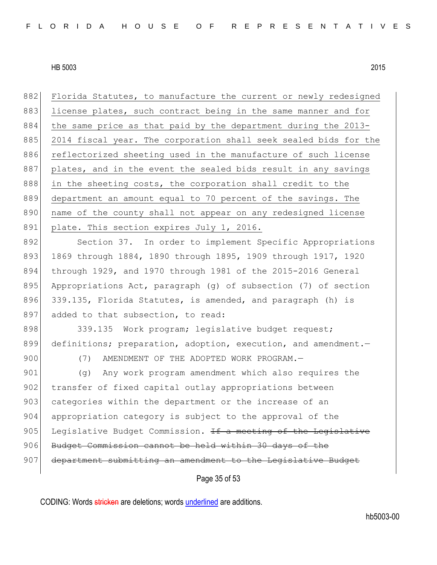882 Florida Statutes, to manufacture the current or newly redesigned 883 license plates, such contract being in the same manner and for 884 the same price as that paid by the department during the 2013-885 2014 fiscal year. The corporation shall seek sealed bids for the 886 reflectorized sheeting used in the manufacture of such license 887 plates, and in the event the sealed bids result in any savings 888 in the sheeting costs, the corporation shall credit to the 889 department an amount equal to 70 percent of the savings. The 890 | name of the county shall not appear on any redesigned license 891 plate. This section expires July 1, 2016.

892 Section 37. In order to implement Specific Appropriations 893 1869 through 1884, 1890 through 1895, 1909 through 1917, 1920 894 through 1929, and 1970 through 1981 of the 2015-2016 General 895 Appropriations Act, paragraph (g) of subsection (7) of section 896 339.135, Florida Statutes, is amended, and paragraph (h) is 897 added to that subsection, to read:

898 339.135 Work program; legislative budget request; 899 definitions; preparation, adoption, execution, and amendment.

900 (7) AMENDMENT OF THE ADOPTED WORK PROGRAM.-

901 (g) Any work program amendment which also requires the 902 transfer of fixed capital outlay appropriations between 903 categories within the department or the increase of an 904 appropriation category is subject to the approval of the 905 Legislative Budget Commission. If a meeting of the Legislative 906 Budget Commission cannot be held within 30 days 907 department submitting an amendment to the Legislative Budget

Page 35 of 53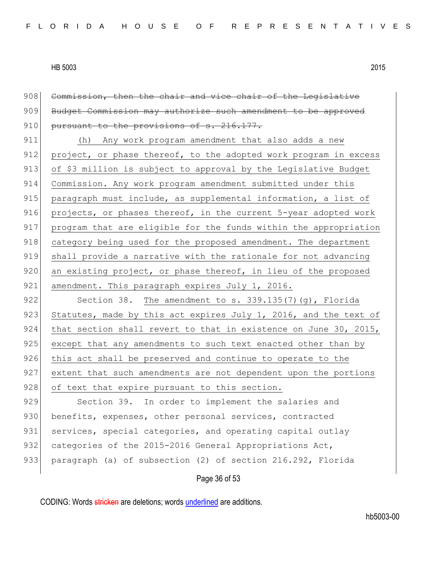908 Commission, then the chair and vice chair of the Legislative 909 Budget Commission may authorize such amendment to be approved 910 pursuant to the provisions of s. 216.177. 911 (h) Any work program amendment that also adds a new 912 project, or phase thereof, to the adopted work program in excess 913 of \$3 million is subject to approval by the Legislative Budget

914 Commission. Any work program amendment submitted under this 915 paragraph must include, as supplemental information, a list of 916 projects, or phases thereof, in the current 5-year adopted work 917 program that are eligible for the funds within the appropriation 918 category being used for the proposed amendment. The department 919 shall provide a narrative with the rationale for not advancing 920 an existing project, or phase thereof, in lieu of the proposed 921 amendment. This paragraph expires July 1, 2016.

922 Section 38. The amendment to s. 339.135(7)(g), Florida 923 Statutes, made by this act expires July 1, 2016, and the text of 924 that section shall revert to that in existence on June 30, 2015, 925 except that any amendments to such text enacted other than by 926 this act shall be preserved and continue to operate to the 927 extent that such amendments are not dependent upon the portions 928 of text that expire pursuant to this section.

929 Section 39. In order to implement the salaries and 930 benefits, expenses, other personal services, contracted 931 services, special categories, and operating capital outlay 932 categories of the 2015-2016 General Appropriations Act, 933 paragraph (a) of subsection (2) of section 216.292, Florida

Page 36 of 53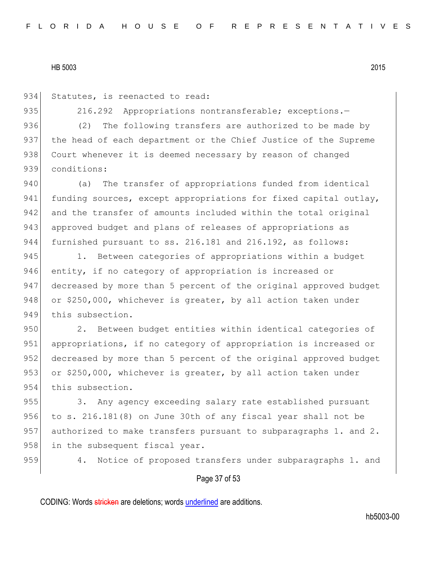934 Statutes, is reenacted to read:

935 216.292 Appropriations nontransferable; exceptions.-

936 (2) The following transfers are authorized to be made by 937 the head of each department or the Chief Justice of the Supreme 938 Court whenever it is deemed necessary by reason of changed 939 conditions:

940 (a) The transfer of appropriations funded from identical 941 funding sources, except appropriations for fixed capital outlay, 942 and the transfer of amounts included within the total original 943 approved budget and plans of releases of appropriations as 944 furnished pursuant to ss. 216.181 and 216.192, as follows:

945 1. Between categories of appropriations within a budget 946 entity, if no category of appropriation is increased or 947 decreased by more than 5 percent of the original approved budget 948 or  $$250,000$ , whichever is greater, by all action taken under 949 this subsection.

950 2. Between budget entities within identical categories of 951 appropriations, if no category of appropriation is increased or 952 decreased by more than 5 percent of the original approved budget 953 or \$250,000, whichever is greater, by all action taken under 954 this subsection.

955 3. Any agency exceeding salary rate established pursuant 956 to s. 216.181 $(8)$  on June 30th of any fiscal year shall not be 957 authorized to make transfers pursuant to subparagraphs 1. and 2. 958 in the subsequent fiscal year.

959 4. Notice of proposed transfers under subparagraphs 1. and

## Page 37 of 53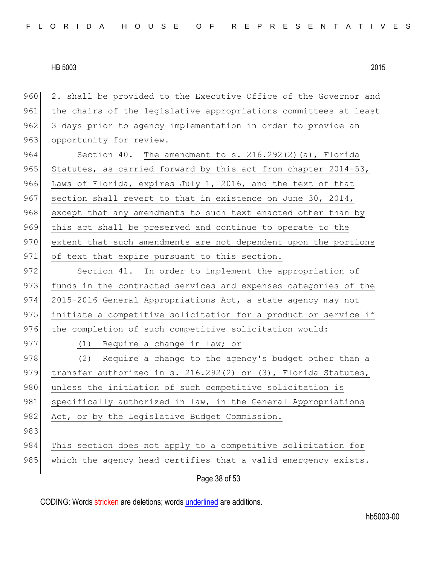960 2. shall be provided to the Executive Office of the Governor and 961 the chairs of the legislative appropriations committees at least 962 3 days prior to agency implementation in order to provide an 963 opportunity for review.

964 Section 40. The amendment to s. 216.292(2)(a), Florida 965 Statutes, as carried forward by this act from chapter 2014-53, 966 Laws of Florida, expires July 1, 2016, and the text of that 967 section shall revert to that in existence on June 30, 2014, 968 except that any amendments to such text enacted other than by 969 this act shall be preserved and continue to operate to the 970 extent that such amendments are not dependent upon the portions 971 of text that expire pursuant to this section.

972 Section 41. In order to implement the appropriation of 973 funds in the contracted services and expenses categories of the 974 2015-2016 General Appropriations Act, a state agency may not 975 initiate a competitive solicitation for a product or service if 976 the completion of such competitive solicitation would:

977 (1) Require a change in law; or 978 (2) Require a change to the agency's budget other than a 979 transfer authorized in s. 216.292(2) or (3), Florida Statutes, 980 unless the initiation of such competitive solicitation is 981 specifically authorized in law, in the General Appropriations 982 Act, or by the Legislative Budget Commission. 983 984 This section does not apply to a competitive solicitation for 985 which the agency head certifies that a valid emergency exists.

Page 38 of 53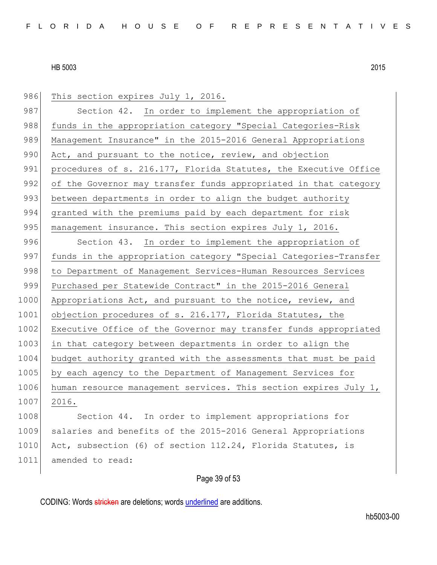986 This section expires July 1, 2016. 987 Section 42. In order to implement the appropriation of 988 funds in the appropriation category "Special Categories-Risk 989 Management Insurance" in the 2015-2016 General Appropriations 990 Act, and pursuant to the notice, review, and objection 991 procedures of s. 216.177, Florida Statutes, the Executive Office 992 of the Governor may transfer funds appropriated in that category 993 between departments in order to align the budget authority 994 granted with the premiums paid by each department for risk 995 management insurance. This section expires July 1, 2016. 996 Section 43. In order to implement the appropriation of 997 funds in the appropriation category "Special Categories-Transfer 998 to Department of Management Services-Human Resources Services 999 Purchased per Statewide Contract" in the 2015-2016 General 1000 Appropriations Act, and pursuant to the notice, review, and 1001 objection procedures of s. 216.177, Florida Statutes, the 1002 Executive Office of the Governor may transfer funds appropriated 1003 in that category between departments in order to align the 1004 budget authority granted with the assessments that must be paid 1005 by each agency to the Department of Management Services for 1006 human resource management services. This section expires July 1, 1007 2016. 1008 Section 44. In order to implement appropriations for 1009 salaries and benefits of the 2015-2016 General Appropriations 1010 Act, subsection (6) of section 112.24, Florida Statutes, is

## Page 39 of 53

CODING: Words stricken are deletions; words underlined are additions.

1011 amended to read: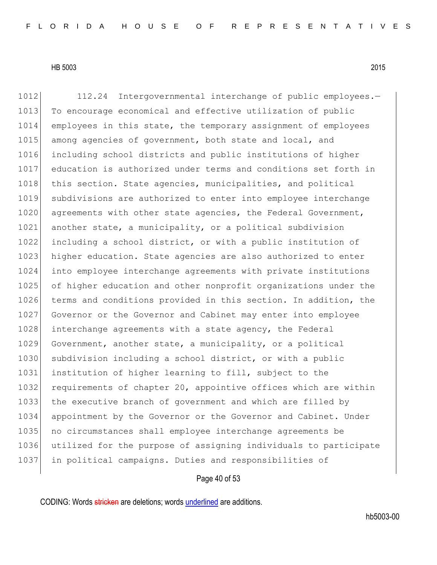1012 112.24 Intergovernmental interchange of public employees.-1013 To encourage economical and effective utilization of public 1014 employees in this state, the temporary assignment of employees 1015 among agencies of government, both state and local, and 1016 including school districts and public institutions of higher 1017 education is authorized under terms and conditions set forth in 1018 this section. State agencies, municipalities, and political 1019 subdivisions are authorized to enter into employee interchange 1020 agreements with other state agencies, the Federal Government, 1021 another state, a municipality, or a political subdivision 1022 including a school district, or with a public institution of 1023 higher education. State agencies are also authorized to enter 1024 into employee interchange agreements with private institutions 1025 of higher education and other nonprofit organizations under the 1026 terms and conditions provided in this section. In addition, the 1027 Governor or the Governor and Cabinet may enter into employee 1028 interchange agreements with a state agency, the Federal 1029 Government, another state, a municipality, or a political 1030 subdivision including a school district, or with a public 1031 institution of higher learning to fill, subject to the 1032 requirements of chapter 20, appointive offices which are within 1033 the executive branch of government and which are filled by 1034 appointment by the Governor or the Governor and Cabinet. Under 1035 no circumstances shall employee interchange agreements be 1036 utilized for the purpose of assigning individuals to participate 1037 in political campaigns. Duties and responsibilities of

#### Page 40 of 53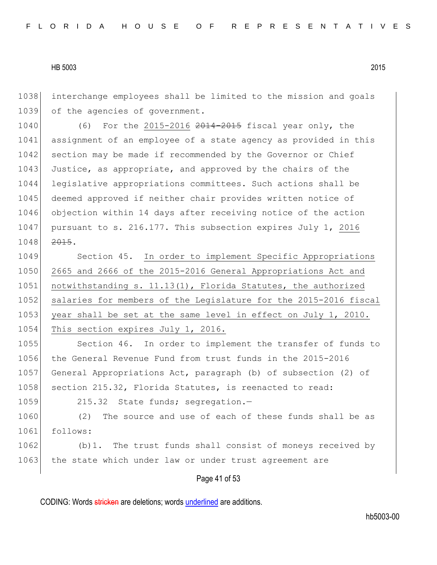1038 interchange employees shall be limited to the mission and goals 1039 of the agencies of government.

1040 (6) For the 2015-2016 2014-2015 fiscal year only, the 1041 assignment of an employee of a state agency as provided in this 1042 section may be made if recommended by the Governor or Chief 1043 Justice, as appropriate, and approved by the chairs of the 1044 legislative appropriations committees. Such actions shall be 1045 deemed approved if neither chair provides written notice of 1046 objection within 14 days after receiving notice of the action 1047 pursuant to s. 216.177. This subsection expires July 1, 2016 1048 2015.

1049 Section 45. In order to implement Specific Appropriations 1050 2665 and 2666 of the 2015-2016 General Appropriations Act and 1051 notwithstanding s. 11.13(1), Florida Statutes, the authorized 1052 salaries for members of the Legislature for the 2015-2016 fiscal 1053 year shall be set at the same level in effect on July 1, 2010. 1054 This section expires July 1, 2016.

1055 Section 46. In order to implement the transfer of funds to 1056 the General Revenue Fund from trust funds in the 2015-2016 1057 General Appropriations Act, paragraph (b) of subsection (2) of 1058 section 215.32, Florida Statutes, is reenacted to read:

```
1059 215.32 State funds; segregation.-
```
1060 (2) The source and use of each of these funds shall be as 1061 follows:

1062 (b)1. The trust funds shall consist of moneys received by 1063 the state which under law or under trust agreement are

#### Page 41 of 53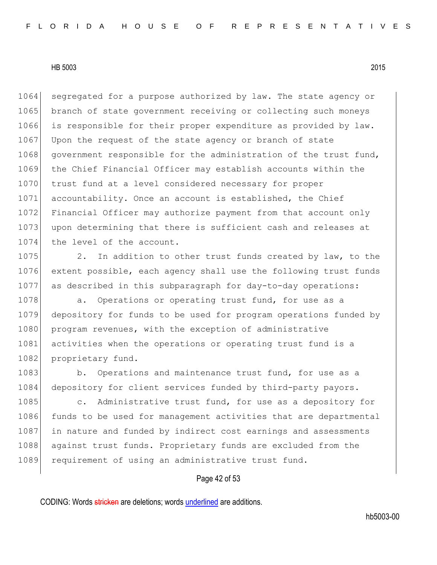1064 segregated for a purpose authorized by law. The state agency or 1065 branch of state government receiving or collecting such moneys 1066 is responsible for their proper expenditure as provided by law. 1067 Upon the request of the state agency or branch of state 1068 government responsible for the administration of the trust fund, 1069 the Chief Financial Officer may establish accounts within the 1070 trust fund at a level considered necessary for proper 1071 accountability. Once an account is established, the Chief 1072 Financial Officer may authorize payment from that account only 1073 upon determining that there is sufficient cash and releases at 1074 the level of the account.

1075 2. In addition to other trust funds created by law, to the 1076 extent possible, each agency shall use the following trust funds 1077 as described in this subparagraph for day-to-day operations:

1078 a. Operations or operating trust fund, for use as a 1079 depository for funds to be used for program operations funded by 1080 program revenues, with the exception of administrative 1081 activities when the operations or operating trust fund is a 1082 proprietary fund.

1083 b. Operations and maintenance trust fund, for use as a 1084 depository for client services funded by third-party payors.

1085 c. Administrative trust fund, for use as a depository for 1086 funds to be used for management activities that are departmental 1087 in nature and funded by indirect cost earnings and assessments 1088 against trust funds. Proprietary funds are excluded from the 1089 requirement of using an administrative trust fund.

#### Page 42 of 53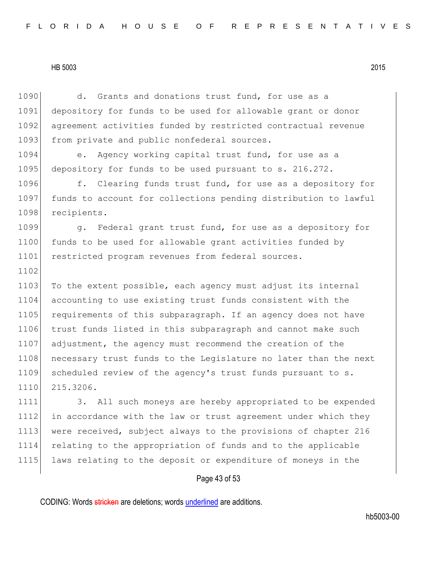1102

1090 d. Grants and donations trust fund, for use as a 1091 depository for funds to be used for allowable grant or donor 1092 agreement activities funded by restricted contractual revenue 1093 from private and public nonfederal sources.

1094 e. Agency working capital trust fund, for use as a 1095 depository for funds to be used pursuant to s. 216.272.

1096 f. Clearing funds trust fund, for use as a depository for 1097 funds to account for collections pending distribution to lawful 1098 recipients.

1099 g. Federal grant trust fund, for use as a depository for 1100 funds to be used for allowable grant activities funded by 1101 restricted program revenues from federal sources.

1103 To the extent possible, each agency must adjust its internal 1104 accounting to use existing trust funds consistent with the 1105 requirements of this subparagraph. If an agency does not have 1106 trust funds listed in this subparagraph and cannot make such 1107 adjustment, the agency must recommend the creation of the 1108 necessary trust funds to the Legislature no later than the next 1109 scheduled review of the agency's trust funds pursuant to s. 1110 215.3206.

1111 3. All such moneys are hereby appropriated to be expended 1112 in accordance with the law or trust agreement under which they 1113 were received, subject always to the provisions of chapter 216 1114 relating to the appropriation of funds and to the applicable 1115 laws relating to the deposit or expenditure of moneys in the

## Page 43 of 53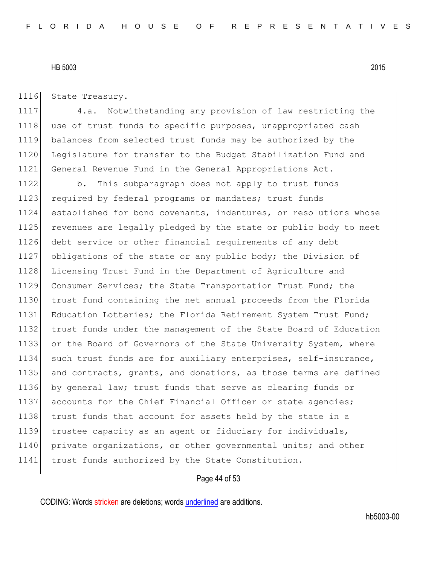1116 State Treasury.

 4.a. Notwithstanding any provision of law restricting the 1118 use of trust funds to specific purposes, unappropriated cash balances from selected trust funds may be authorized by the Legislature for transfer to the Budget Stabilization Fund and General Revenue Fund in the General Appropriations Act.

1122 b. This subparagraph does not apply to trust funds 1123 required by federal programs or mandates; trust funds 1124 established for bond covenants, indentures, or resolutions whose 1125 revenues are legally pledged by the state or public body to meet 1126 debt service or other financial requirements of any debt 1127 obligations of the state or any public body; the Division of 1128 Licensing Trust Fund in the Department of Agriculture and 1129 Consumer Services; the State Transportation Trust Fund; the 1130 trust fund containing the net annual proceeds from the Florida 1131 Education Lotteries; the Florida Retirement System Trust Fund; 1132 trust funds under the management of the State Board of Education 1133 or the Board of Governors of the State University System, where 1134 such trust funds are for auxiliary enterprises, self-insurance, 1135 and contracts, grants, and donations, as those terms are defined 1136 by general law; trust funds that serve as clearing funds or 1137 accounts for the Chief Financial Officer or state agencies; 1138 trust funds that account for assets held by the state in a 1139 trustee capacity as an agent or fiduciary for individuals, 1140 private organizations, or other governmental units; and other 1141 trust funds authorized by the State Constitution.

#### Page 44 of 53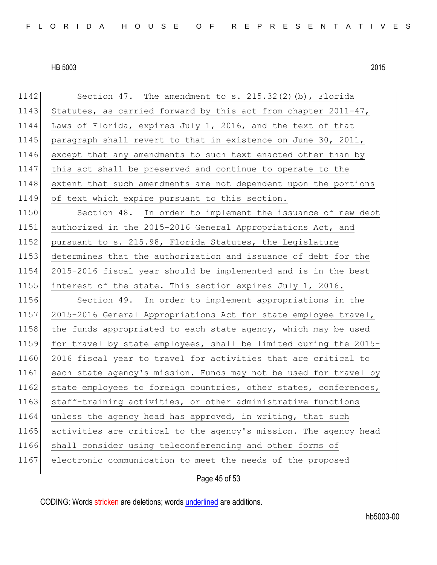1142 Section 47. The amendment to s. 215.32(2)(b), Florida 1143 Statutes, as carried forward by this act from chapter 2011-47, 1144 Laws of Florida, expires July 1, 2016, and the text of that 1145 paragraph shall revert to that in existence on June 30, 2011, 1146 except that any amendments to such text enacted other than by 1147 this act shall be preserved and continue to operate to the 1148 extent that such amendments are not dependent upon the portions 1149 of text which expire pursuant to this section. 1150 Section 48. In order to implement the issuance of new debt 1151 authorized in the 2015-2016 General Appropriations Act, and 1152 pursuant to s. 215.98, Florida Statutes, the Legislature 1153 determines that the authorization and issuance of debt for the 1154 2015-2016 fiscal year should be implemented and is in the best 1155 interest of the state. This section expires July 1, 2016. 1156 Section 49. In order to implement appropriations in the 1157 2015-2016 General Appropriations Act for state employee travel, 1158 the funds appropriated to each state agency, which may be used 1159 for travel by state employees, shall be limited during the 2015- 1160 2016 fiscal year to travel for activities that are critical to 1161 each state agency's mission. Funds may not be used for travel by 1162 state employees to foreign countries, other states, conferences, 1163 staff-training activities, or other administrative functions 1164 unless the agency head has approved, in writing, that such 1165 activities are critical to the agency's mission. The agency head 1166 shall consider using teleconferencing and other forms of 1167 electronic communication to meet the needs of the proposed

Page 45 of 53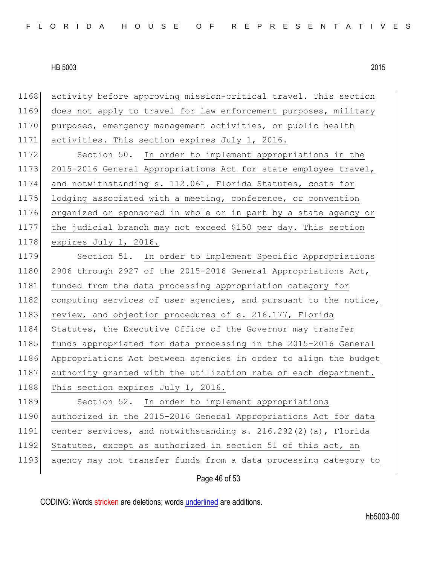| 1168 | activity before approving mission-critical travel. This section  |
|------|------------------------------------------------------------------|
| 1169 | does not apply to travel for law enforcement purposes, military  |
| 1170 | purposes, emergency management activities, or public health      |
| 1171 | activities. This section expires July 1, 2016.                   |
| 1172 | Section 50. In order to implement appropriations in the          |
| 1173 | 2015-2016 General Appropriations Act for state employee travel,  |
| 1174 | and notwithstanding s. 112.061, Florida Statutes, costs for      |
| 1175 | lodging associated with a meeting, conference, or convention     |
| 1176 | organized or sponsored in whole or in part by a state agency or  |
| 1177 | the judicial branch may not exceed \$150 per day. This section   |
| 1178 | expires July 1, 2016.                                            |
| 1179 | Section 51. In order to implement Specific Appropriations        |
| 1180 | 2906 through 2927 of the 2015-2016 General Appropriations Act,   |
| 1181 | funded from the data processing appropriation category for       |
| 1182 | computing services of user agencies, and pursuant to the notice, |
| 1183 | review, and objection procedures of s. 216.177, Florida          |
| 1184 | Statutes, the Executive Office of the Governor may transfer      |
| 1185 | funds appropriated for data processing in the 2015-2016 General  |
| 1186 | Appropriations Act between agencies in order to align the budget |
| 1187 | authority granted with the utilization rate of each department.  |
| 1188 | This section expires July 1, 2016.                               |
| 1189 | Section 52. In order to implement appropriations                 |
| 1190 | authorized in the 2015-2016 General Appropriations Act for data  |
| 1191 | center services, and notwithstanding s. 216.292(2)(a), Florida   |
| 1192 | Statutes, except as authorized in section 51 of this act, an     |
| 1193 | agency may not transfer funds from a data processing category to |
|      |                                                                  |

Page 46 of 53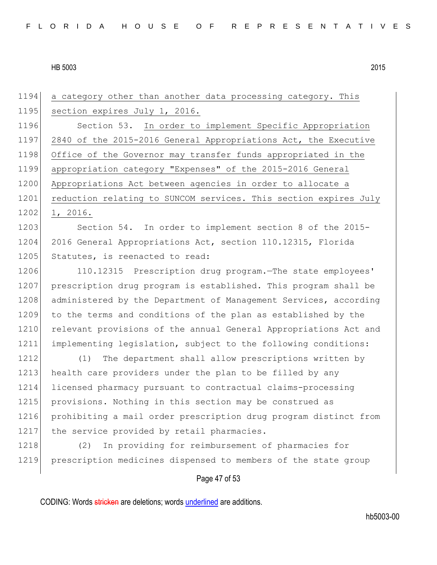| 1194 | a category other than another data processing category. This     |
|------|------------------------------------------------------------------|
| 1195 | section expires July 1, 2016.                                    |
| 1196 | Section 53. In order to implement Specific Appropriation         |
| 1197 | 2840 of the 2015-2016 General Appropriations Act, the Executive  |
| 1198 | Office of the Governor may transfer funds appropriated in the    |
| 1199 | appropriation category "Expenses" of the 2015-2016 General       |
| 1200 | Appropriations Act between agencies in order to allocate a       |
| 1201 | reduction relating to SUNCOM services. This section expires July |
| 1202 | 1, 2016.                                                         |
| 1203 | Section 54. In order to implement section 8 of the 2015-         |
| 1204 | 2016 General Appropriations Act, section 110.12315, Florida      |
| 1205 | Statutes, is reenacted to read:                                  |
| 1206 | 110.12315 Prescription drug program. The state employees'        |
| 1207 | prescription drug program is established. This program shall be  |
| 1208 | administered by the Department of Management Services, according |
| 1209 | to the terms and conditions of the plan as established by the    |
| 1210 | relevant provisions of the annual General Appropriations Act and |
| 1211 | implementing legislation, subject to the following conditions:   |
| 1212 | The department shall allow prescriptions written by<br>(1)       |
| 1213 | health care providers under the plan to be filled by any         |
| 1214 | licensed pharmacy pursuant to contractual claims-processing      |
| 1215 | provisions. Nothing in this section may be construed as          |
| 1216 | prohibiting a mail order prescription drug program distinct from |
| 1217 | the service provided by retail pharmacies.                       |
| 1218 | In providing for reimbursement of pharmacies for<br>(2)          |
| 1219 | prescription medicines dispensed to members of the state group   |
|      |                                                                  |

# Page 47 of 53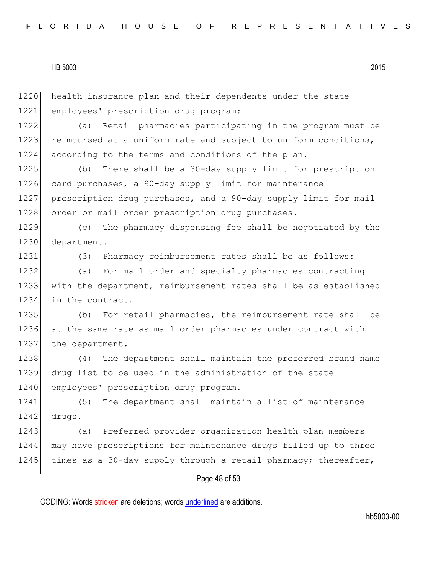Page 48 of 53 1220 health insurance plan and their dependents under the state 1221 employees' prescription drug program: 1222 (a) Retail pharmacies participating in the program must be 1223 reimbursed at a uniform rate and subject to uniform conditions, 1224 according to the terms and conditions of the plan. 1225 (b) There shall be a 30-day supply limit for prescription 1226 card purchases, a 90-day supply limit for maintenance 1227 prescription drug purchases, and a 90-day supply limit for mail 1228 order or mail order prescription drug purchases. 1229 (c) The pharmacy dispensing fee shall be negotiated by the 1230 department. 1231 (3) Pharmacy reimbursement rates shall be as follows: 1232 (a) For mail order and specialty pharmacies contracting 1233 with the department, reimbursement rates shall be as established 1234 in the contract. 1235 (b) For retail pharmacies, the reimbursement rate shall be 1236 at the same rate as mail order pharmacies under contract with 1237 the department. 1238 (4) The department shall maintain the preferred brand name 1239 drug list to be used in the administration of the state 1240 employees' prescription drug program. 1241 (5) The department shall maintain a list of maintenance 1242 drugs. 1243 (a) Preferred provider organization health plan members 1244 may have prescriptions for maintenance drugs filled up to three 1245 times as a 30-day supply through a retail pharmacy; thereafter,

CODING: Words stricken are deletions; words underlined are additions.

hb5003-00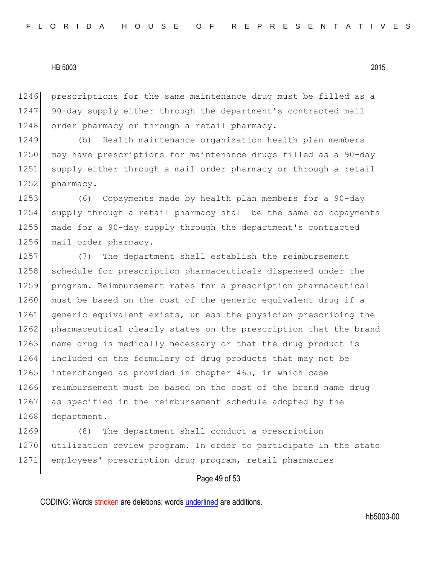1246 prescriptions for the same maintenance drug must be filled as a 1247 90-day supply either through the department's contracted mail 1248 order pharmacy or through a retail pharmacy.

1249 (b) Health maintenance organization health plan members 1250 may have prescriptions for maintenance drugs filled as a 90-day 1251 supply either through a mail order pharmacy or through a retail 1252 pharmacy.

1253 (6) Copayments made by health plan members for a 90-day 1254 supply through a retail pharmacy shall be the same as copayments 1255 made for a 90-day supply through the department's contracted 1256 mail order pharmacy.

1257 (7) The department shall establish the reimbursement 1258 schedule for prescription pharmaceuticals dispensed under the 1259 program. Reimbursement rates for a prescription pharmaceutical 1260 must be based on the cost of the generic equivalent drug if a 1261 generic equivalent exists, unless the physician prescribing the 1262 pharmaceutical clearly states on the prescription that the brand 1263 name drug is medically necessary or that the drug product is 1264 included on the formulary of drug products that may not be 1265 interchanged as provided in chapter 465, in which case 1266 reimbursement must be based on the cost of the brand name drug 1267 as specified in the reimbursement schedule adopted by the 1268 department.

1269 (8) The department shall conduct a prescription 1270 utilization review program. In order to participate in the state 1271 employees' prescription drug program, retail pharmacies

## Page 49 of 53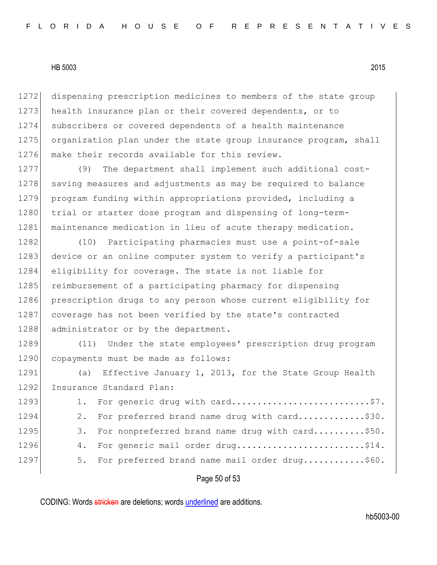1272 dispensing prescription medicines to members of the state group 1273 health insurance plan or their covered dependents, or to 1274 subscribers or covered dependents of a health maintenance 1275 organization plan under the state group insurance program, shall 1276 make their records available for this review.

1277 (9) The department shall implement such additional cost-1278 saving measures and adjustments as may be required to balance 1279 program funding within appropriations provided, including a 1280 trial or starter dose program and dispensing of long-term-1281 maintenance medication in lieu of acute therapy medication.

1282 (10) Participating pharmacies must use a point-of-sale 1283 device or an online computer system to verify a participant's 1284 eligibility for coverage. The state is not liable for 1285 reimbursement of a participating pharmacy for dispensing 1286 prescription drugs to any person whose current eligibility for 1287 coverage has not been verified by the state's contracted 1288 administrator or by the department.

1289 (11) Under the state employees' prescription drug program 1290 copayments must be made as follows:

1291 (a) Effective January 1, 2013, for the State Group Health 1292 Insurance Standard Plan:

| 1293 | 1. For generic drug with card\$7.                  |  |
|------|----------------------------------------------------|--|
| 1294 | 2. For preferred brand name drug with card\$30.    |  |
| 1295 | 3. For nonpreferred brand name drug with card\$50. |  |
| 1296 | 4. For generic mail order drug\$14.                |  |
| 1297 | 5. For preferred brand name mail order drug\$60.   |  |

## Page 50 of 53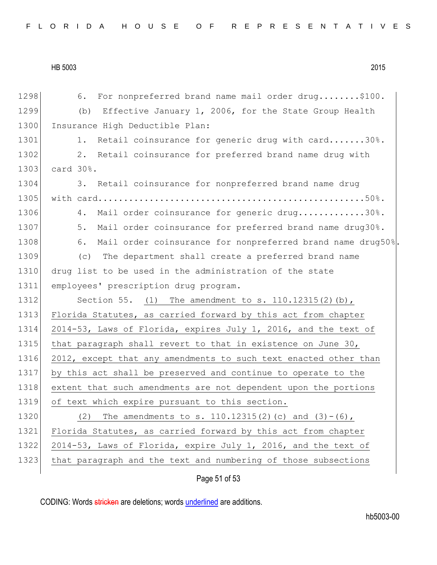1298 6. For nonpreferred brand name mail order drug........\$100. 1299 (b) Effective January 1, 2006, for the State Group Health 1300 Insurance High Deductible Plan: 1301 1. Retail coinsurance for generic drug with card.......30%. 1302 2. Retail coinsurance for preferred brand name drug with 1303 card 30%. 1304 3. Retail coinsurance for nonpreferred brand name drug 1305 with card....................................................50%. 1306 4. Mail order coinsurance for generic drug.............30%. 1307 5. Mail order coinsurance for preferred brand name drug30%. 1308 6. Mail order coinsurance for nonpreferred brand name drug50%. 1309 (c) The department shall create a preferred brand name 1310 drug list to be used in the administration of the state 1311 employees' prescription drug program. 1312 Section 55. (1) The amendment to s. 110.12315(2)(b), 1313 Florida Statutes, as carried forward by this act from chapter 1314 2014-53, Laws of Florida, expires July 1, 2016, and the text of 1315 that paragraph shall revert to that in existence on June 30, 1316 2012, except that any amendments to such text enacted other than 1317 by this act shall be preserved and continue to operate to the 1318 extent that such amendments are not dependent upon the portions 1319 of text which expire pursuant to this section. 1320 (2) The amendments to s. 110.12315(2)(c) and  $(3)-(6)$ , 1321 Florida Statutes, as carried forward by this act from chapter 1322 2014-53, Laws of Florida, expire July 1, 2016, and the text of 1323 that paragraph and the text and numbering of those subsections

Page 51 of 53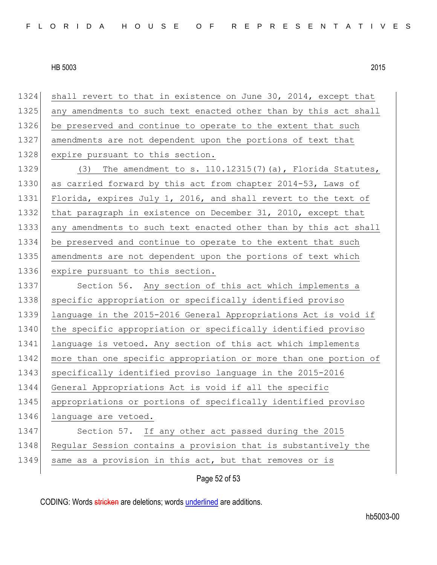1324 shall revert to that in existence on June 30, 2014, except that 1325 any amendments to such text enacted other than by this act shall 1326 be preserved and continue to operate to the extent that such 1327 amendments are not dependent upon the portions of text that 1328 expire pursuant to this section. 1329  $(3)$  The amendment to s. 110.12315(7)(a), Florida Statutes, 1330 as carried forward by this act from chapter 2014-53, Laws of 1331 Florida, expires July 1, 2016, and shall revert to the text of 1332 that paragraph in existence on December 31, 2010, except that 1333 any amendments to such text enacted other than by this act shall 1334 be preserved and continue to operate to the extent that such 1335 amendments are not dependent upon the portions of text which 1336 expire pursuant to this section. 1337 Section 56. Any section of this act which implements a 1338 specific appropriation or specifically identified proviso 1339 language in the 2015-2016 General Appropriations Act is void if 1340 the specific appropriation or specifically identified proviso 1341 language is vetoed. Any section of this act which implements 1342 more than one specific appropriation or more than one portion of 1343 specifically identified proviso language in the 2015-2016 1344 General Appropriations Act is void if all the specific 1345 appropriations or portions of specifically identified proviso 1346 language are vetoed. 1347 Section 57. If any other act passed during the 2015 1348 Regular Session contains a provision that is substantively the 1349 same as a provision in this act, but that removes or is

Page 52 of 53